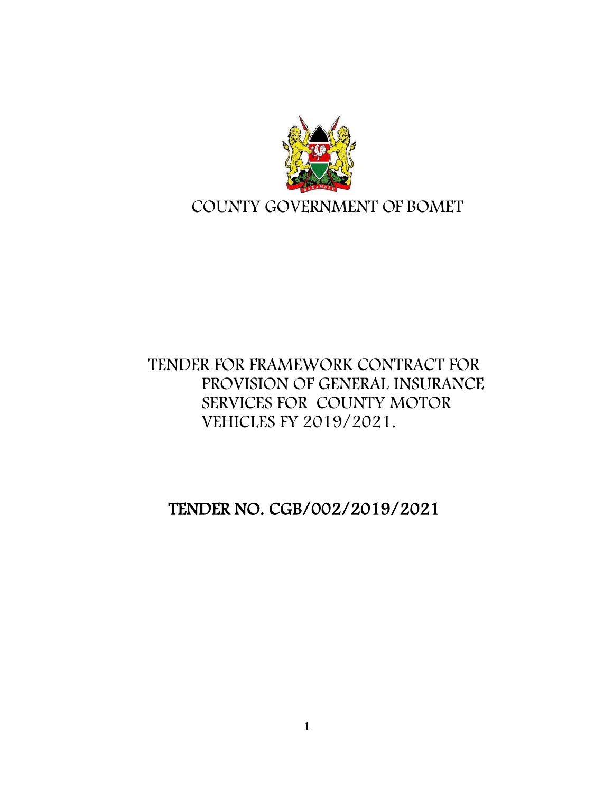

# COUNTY GOVERNMENT OF BOMET

# TENDER FOR FRAMEWORK CONTRACT FOR PROVISION OF GENERAL INSURANCE SERVICES FOR COUNTY MOTOR VEHICLES FY 2019/2021.

TENDER NO. CGB/002/2019/2021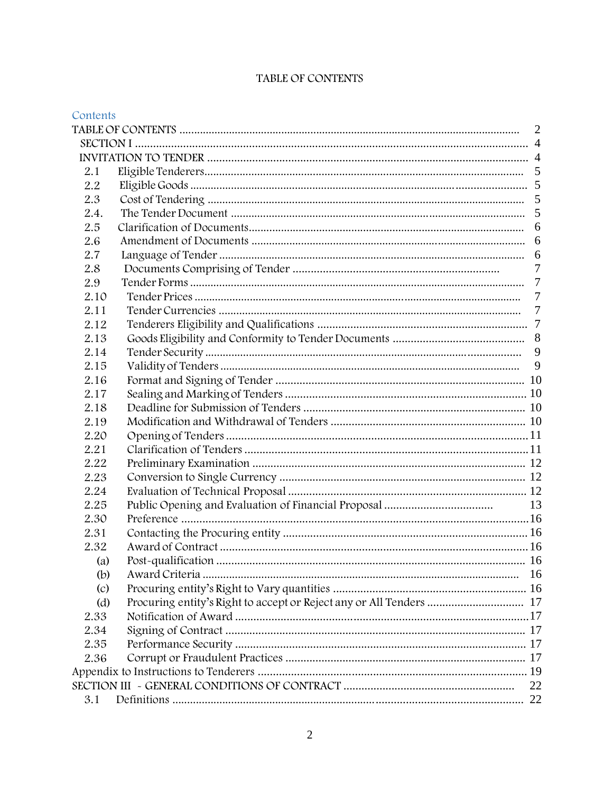| TABLE OF CONTENTS |  |  |  |
|-------------------|--|--|--|
|-------------------|--|--|--|

| Contents          |                                                                     |                 |
|-------------------|---------------------------------------------------------------------|-----------------|
|                   |                                                                     | 2               |
|                   |                                                                     |                 |
|                   |                                                                     |                 |
| 2.1               |                                                                     |                 |
| 2.2               |                                                                     |                 |
| 2.3               |                                                                     |                 |
| 2.4.              |                                                                     |                 |
| 2.5               |                                                                     | 6               |
| 2.6               |                                                                     |                 |
| 2.7               |                                                                     | 6               |
| 2.8               |                                                                     | $\overline{7}$  |
| 2.9               |                                                                     | $7\phantom{.0}$ |
| 2.10              |                                                                     | $\overline{7}$  |
| 2.11              |                                                                     |                 |
| 2.12              |                                                                     |                 |
| 2.13              |                                                                     |                 |
| 2.14              |                                                                     | 9               |
| 2.15              |                                                                     | 9               |
| 2.16              |                                                                     |                 |
| 2.17              |                                                                     |                 |
| 2.18              |                                                                     |                 |
| 2.19              |                                                                     |                 |
| 2.20              |                                                                     |                 |
| 2.21              |                                                                     |                 |
| 2.22              |                                                                     |                 |
| 2.23              |                                                                     |                 |
| 2.24              |                                                                     |                 |
| 2.25              |                                                                     |                 |
| 2.30              |                                                                     |                 |
| 2.31              |                                                                     |                 |
| 2.32              |                                                                     |                 |
| (a)               |                                                                     |                 |
| (b)               |                                                                     |                 |
| $\left( c\right)$ |                                                                     |                 |
| (d)               | Procuring entity's Right to accept or Reject any or All Tenders  17 |                 |
| 2.33              |                                                                     |                 |
| 2.34              |                                                                     |                 |
| 2.35              |                                                                     |                 |
| 2.36              |                                                                     |                 |
|                   |                                                                     |                 |
|                   |                                                                     | 22              |
| 3.1               |                                                                     |                 |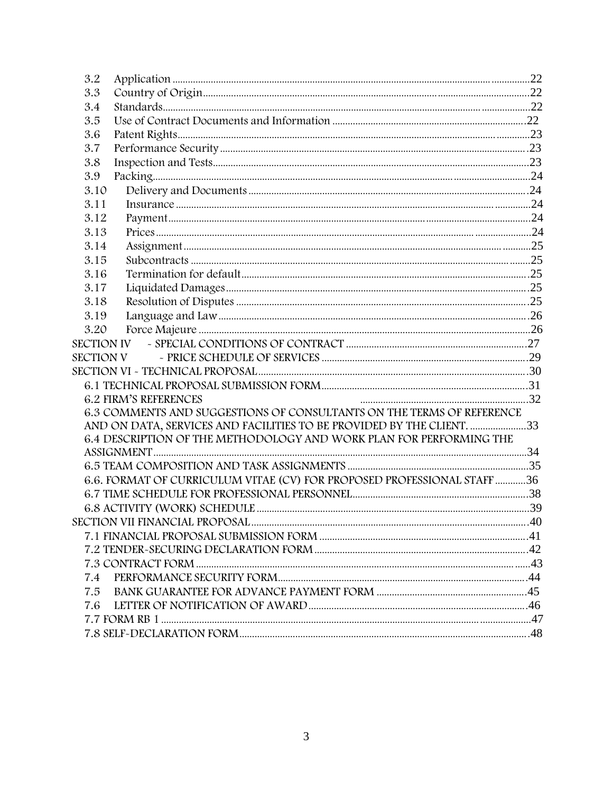| 3.2  |                                                                         |  |
|------|-------------------------------------------------------------------------|--|
| 3.3  |                                                                         |  |
| 3.4  |                                                                         |  |
| 3.5  |                                                                         |  |
| 3.6  |                                                                         |  |
| 3.7  |                                                                         |  |
| 3.8  |                                                                         |  |
| 3.9  |                                                                         |  |
| 3.10 |                                                                         |  |
| 3.11 |                                                                         |  |
| 3.12 |                                                                         |  |
| 3.13 |                                                                         |  |
| 3.14 |                                                                         |  |
| 3.15 |                                                                         |  |
| 3.16 |                                                                         |  |
| 3.17 |                                                                         |  |
| 3.18 |                                                                         |  |
| 3.19 |                                                                         |  |
| 3.20 |                                                                         |  |
|      |                                                                         |  |
|      |                                                                         |  |
|      |                                                                         |  |
|      |                                                                         |  |
|      | <b>6.2 FIRM'S REFERENCES</b>                                            |  |
|      | 6.3 COMMENTS AND SUGGESTIONS OF CONSULTANTS ON THE TERMS OF REFERENCE   |  |
|      | AND ON DATA, SERVICES AND FACILITIES TO BE PROVIDED BY THE CLIENT. 33   |  |
|      | 6.4 DESCRIPTION OF THE METHODOLOGY AND WORK PLAN FOR PERFORMING THE     |  |
|      |                                                                         |  |
|      |                                                                         |  |
|      | 6.6. FORMAT OF CURRICULUM VITAE (CV) FOR PROPOSED PROFESSIONAL STAFF 36 |  |
|      |                                                                         |  |
|      |                                                                         |  |
|      |                                                                         |  |
|      |                                                                         |  |
|      |                                                                         |  |
|      |                                                                         |  |
| 7.4  |                                                                         |  |
| 7.5  |                                                                         |  |
| 7.6  |                                                                         |  |
|      |                                                                         |  |
|      |                                                                         |  |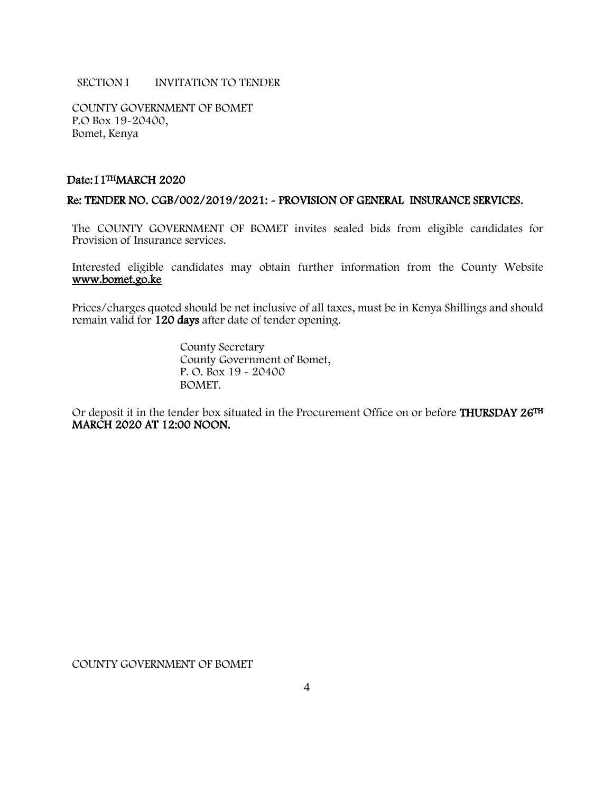### SECTION I INVITATION TO TENDER

COUNTY GOVERNMENT OF BOMET P.O Box 19-20400, Bomet, Kenya

# Date:11THMARCH 2020

#### Re: TENDER NO. CGB/002/2019/2021: - PROVISION OF GENERAL INSURANCE SERVICES.

The COUNTY GOVERNMENT OF BOMET invites sealed bids from eligible candidates for Provision of Insurance services.

Interested eligible candidates may obtain further information from the County Website [www.bomet.go.ke](http://www.bomet.go.ke/) 

Prices/charges quoted should be net inclusive of all taxes, must be in Kenya Shillings and should remain valid for 120 days after date of tender opening.

> County Secretary County Government of Bomet, P. O. Box 19 - 20400 BOMET.

Or deposit it in the tender box situated in the Procurement Office on or before **THURSDAY 26TH** MARCH 2020 AT 12:00 NOON.

COUNTY GOVERNMENT OF BOMET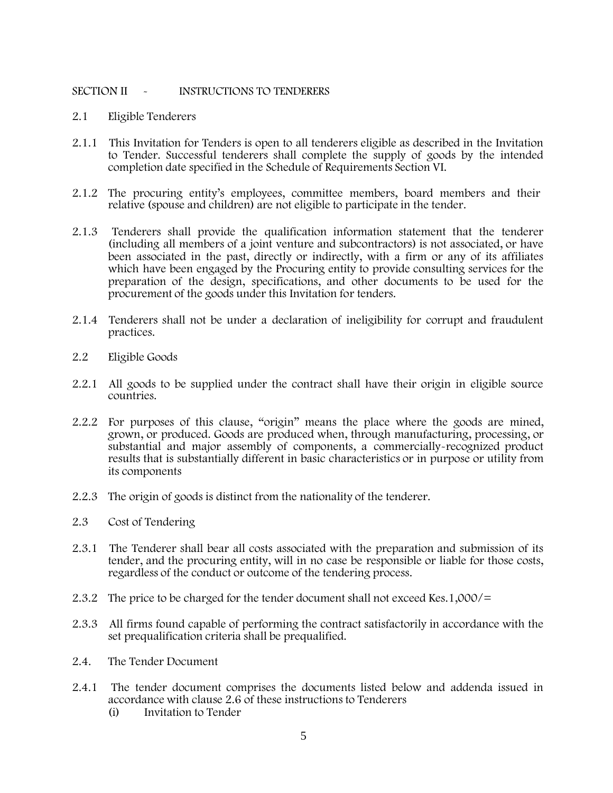# SECTION II - INSTRUCTIONS TO TENDERERS

- 2.1 Eligible Tenderers
- 2.1.1 This Invitation for Tenders is open to all tenderers eligible as described in the Invitation to Tender. Successful tenderers shall complete the supply of goods by the intended completion date specified in the Schedule of Requirements Section VI.
- 2.1.2 The procuring entity's employees, committee members, board members and their relative (spouse and children) are not eligible to participate in the tender.
- 2.1.3 Tenderers shall provide the qualification information statement that the tenderer (including all members of a joint venture and subcontractors) is not associated, or have been associated in the past, directly or indirectly, with a firm or any of its affiliates which have been engaged by the Procuring entity to provide consulting services for the preparation of the design, specifications, and other documents to be used for the procurement of the goods under this Invitation for tenders.
- 2.1.4 Tenderers shall not be under a declaration of ineligibility for corrupt and fraudulent practices.
- 2.2 Eligible Goods
- 2.2.1 All goods to be supplied under the contract shall have their origin in eligible source countries.
- 2.2.2 For purposes of this clause, "origin" means the place where the goods are mined, grown, or produced. Goods are produced when, through manufacturing, processing, or substantial and major assembly of components, a commercially-recognized product results that is substantially different in basic characteristics or in purpose or utility from its components
- 2.2.3 The origin of goods is distinct from the nationality of the tenderer.
- 2.3 Cost of Tendering
- 2.3.1 The Tenderer shall bear all costs associated with the preparation and submission of its tender, and the procuring entity, will in no case be responsible or liable for those costs, regardless of the conduct or outcome of the tendering process.
- 2.3.2 The price to be charged for the tender document shall not exceed Kes.1,000/=
- 2.3.3 All firms found capable of performing the contract satisfactorily in accordance with the set prequalification criteria shall be prequalified.
- 2.4. The Tender Document
- 2.4.1 The tender document comprises the documents listed below and addenda issued in accordance with clause 2.6 of these instructions to Tenderers
	- (i) Invitation to Tender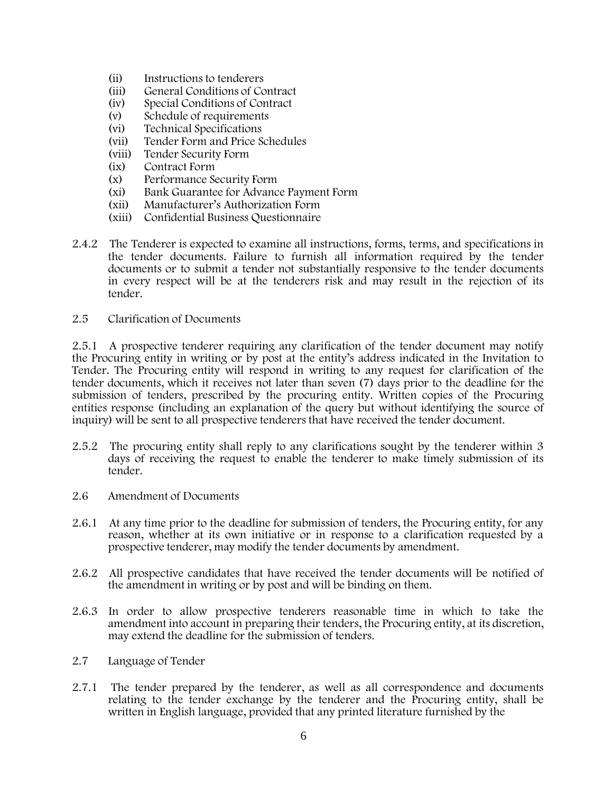- (ii) Instructions to tenderers
- (iii) General Conditions of Contract
- (iv) Special Conditions of Contract
- (v) Schedule of requirements
- (vi) Technical Specifications
- (vii) Tender Form and Price Schedules<br>(viii) Tender Security Form
- Tender Security Form
- (ix) Contract Form
- (x) Performance Security Form
- (xi) Bank Guarantee for Advance Payment Form
- (xii) Manufacturer's Authorization Form
- (xiii) Confidential Business Questionnaire
- 2.4.2 The Tenderer is expected to examine all instructions, forms, terms, and specifications in the tender documents. Failure to furnish all information required by the tender documents or to submit a tender not substantially responsive to the tender documents in every respect will be at the tenderers risk and may result in the rejection of its tender.
- 2.5 Clarification of Documents

2.5.1 A prospective tenderer requiring any clarification of the tender document may notify the Procuring entity in writing or by post at the entity's address indicated in the Invitation to Tender. The Procuring entity will respond in writing to any request for clarification of the tender documents, which it receives not later than seven (7) days prior to the deadline for the submission of tenders, prescribed by the procuring entity. Written copies of the Procuring entities response (including an explanation of the query but without identifying the source of inquiry) will be sent to all prospective tenderers that have received the tender document.

- 2.5.2 The procuring entity shall reply to any clarifications sought by the tenderer within 3 days of receiving the request to enable the tenderer to make timely submission of its tender.
- 2.6 Amendment of Documents
- 2.6.1 At any time prior to the deadline for submission of tenders, the Procuring entity, for any reason, whether at its own initiative or in response to a clarification requested by a prospective tenderer, may modify the tender documents by amendment.
- 2.6.2 All prospective candidates that have received the tender documents will be notified of the amendment in writing or by post and will be binding on them.
- 2.6.3 In order to allow prospective tenderers reasonable time in which to take the amendment into account in preparing their tenders, the Procuring entity, at its discretion, may extend the deadline for the submission of tenders.
- 2.7 Language of Tender
- 2.7.1 The tender prepared by the tenderer, as well as all correspondence and documents relating to the tender exchange by the tenderer and the Procuring entity, shall be written in English language, provided that any printed literature furnished by the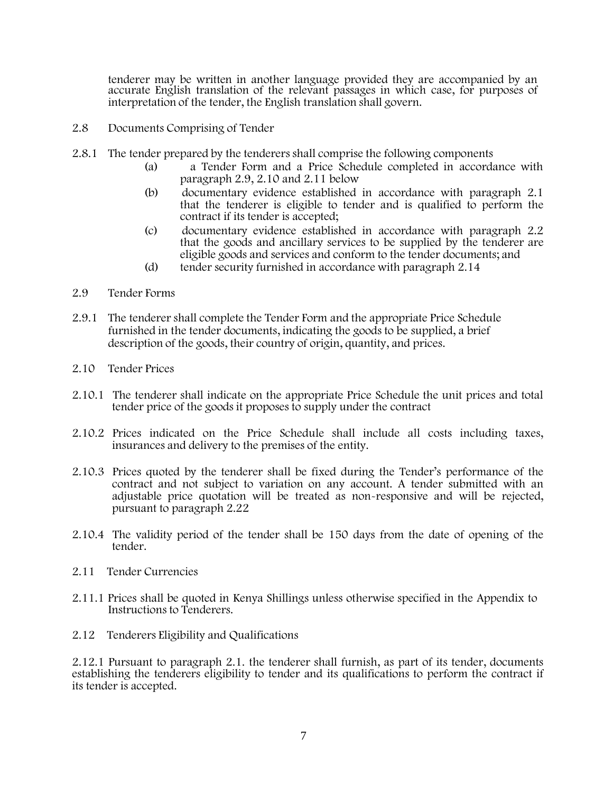tenderer may be written in another language provided they are accompanied by an accurate English translation of the relevant passages in which case, for purposes of interpretation of the tender, the English translation shall govern.

- 2.8 Documents Comprising of Tender
- 2.8.1 The tender prepared by the tenderers shall comprise the following components
	- (a) a Tender Form and a Price Schedule completed in accordance with paragraph 2.9, 2.10 and 2.11 below
	- (b) documentary evidence established in accordance with paragraph 2.1 that the tenderer is eligible to tender and is qualified to perform the contract if its tender is accepted;
	- (c) documentary evidence established in accordance with paragraph 2.2 that the goods and ancillary services to be supplied by the tenderer are eligible goods and services and conform to the tender documents; and
	- (d) tender security furnished in accordance with paragraph 2.14
- 2.9 Tender Forms
- 2.9.1 The tenderer shall complete the Tender Form and the appropriate Price Schedule furnished in the tender documents, indicating the goods to be supplied, a brief description of the goods, their country of origin, quantity, and prices.
- 2.10 Tender Prices
- 2.10.1 The tenderer shall indicate on the appropriate Price Schedule the unit prices and total tender price of the goods it proposes to supply under the contract
- 2.10.2 Prices indicated on the Price Schedule shall include all costs including taxes, insurances and delivery to the premises of the entity.
- 2.10.3 Prices quoted by the tenderer shall be fixed during the Tender's performance of the contract and not subject to variation on any account. A tender submitted with an adjustable price quotation will be treated as non-responsive and will be rejected, pursuant to paragraph 2.22
- 2.10.4 The validity period of the tender shall be 150 days from the date of opening of the tender.
- 2.11 Tender Currencies
- 2.11.1 Prices shall be quoted in Kenya Shillings unless otherwise specified in the Appendix to Instructions to Tenderers.
- 2.12 Tenderers Eligibility and Qualifications

2.12.1 Pursuant to paragraph 2.1. the tenderer shall furnish, as part of its tender, documents establishing the tenderers eligibility to tender and its qualifications to perform the contract if its tender is accepted.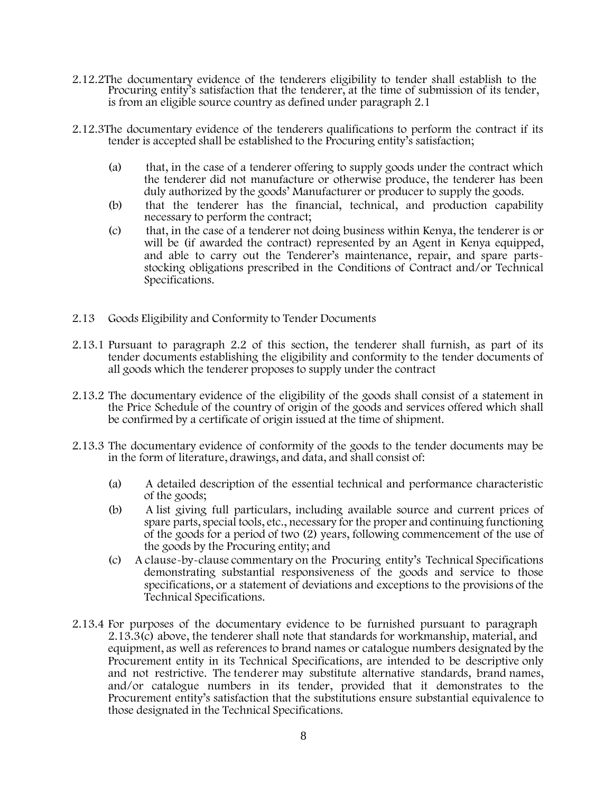- 2.12.2The documentary evidence of the tenderers eligibility to tender shall establish to the Procuring entity's satisfaction that the tenderer, at the time of submission of its tender, is from an eligible source country as defined under paragraph 2.1
- 2.12.3The documentary evidence of the tenderers qualifications to perform the contract if its tender is accepted shall be established to the Procuring entity's satisfaction;
	- (a) that, in the case of a tenderer offering to supply goods under the contract which the tenderer did not manufacture or otherwise produce, the tenderer has been duly authorized by the goods' Manufacturer or producer to supply the goods.
	- (b) that the tenderer has the financial, technical, and production capability necessary to perform the contract;
	- (c) that, in the case of a tenderer not doing business within Kenya, the tenderer is or will be (if awarded the contract) represented by an Agent in Kenya equipped, and able to carry out the Tenderer's maintenance, repair, and spare partsstocking obligations prescribed in the Conditions of Contract and/or Technical Specifications.
- 2.13 Goods Eligibility and Conformity to Tender Documents
- 2.13.1 Pursuant to paragraph 2.2 of this section, the tenderer shall furnish, as part of its tender documents establishing the eligibility and conformity to the tender documents of all goods which the tenderer proposes to supply under the contract
- 2.13.2 The documentary evidence of the eligibility of the goods shall consist of a statement in the Price Schedule of the country of origin of the goods and services offered which shall be confirmed by a certificate of origin issued at the time of shipment.
- 2.13.3 The documentary evidence of conformity of the goods to the tender documents may be in the form of literature, drawings, and data, and shall consist of:
	- (a) A detailed description of the essential technical and performance characteristic of the goods;
	- (b) A list giving full particulars, including available source and current prices of spare parts, special tools, etc., necessary for the proper and continuing functioning of the goods for a period of two (2) years, following commencement of the use of the goods by the Procuring entity; and
	- (c) A clause-by-clause commentary on the Procuring entity's Technical Specifications demonstrating substantial responsiveness of the goods and service to those specifications, or a statement of deviations and exceptions to the provisions of the Technical Specifications.
- 2.13.4 For purposes of the documentary evidence to be furnished pursuant to paragraph 2.13.3(c) above, the tenderer shall note that standards for workmanship, material, and equipment, as well as references to brand names or catalogue numbers designated by the Procurement entity in its Technical Specifications, are intended to be descriptive only and not restrictive. The tenderer may substitute alternative standards, brand names, and/or catalogue numbers in its tender, provided that it demonstrates to the Procurement entity's satisfaction that the substitutions ensure substantial equivalence to those designated in the Technical Specifications.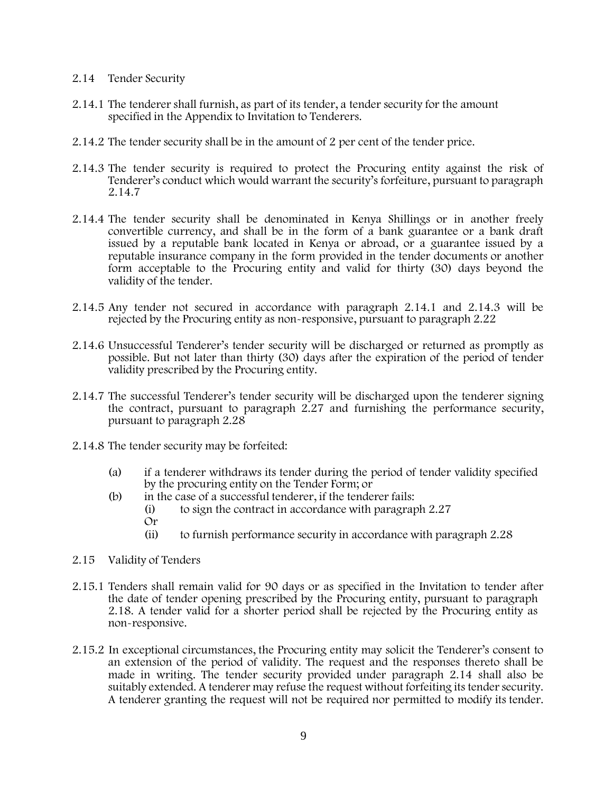# 2.14 Tender Security

- 2.14.1 The tenderer shall furnish, as part of its tender, a tender security for the amount specified in the Appendix to Invitation to Tenderers.
- 2.14.2 The tender security shall be in the amount of 2 per cent of the tender price.
- 2.14.3 The tender security is required to protect the Procuring entity against the risk of Tenderer's conduct which would warrant the security's forfeiture, pursuant to paragraph 2.14.7
- 2.14.4 The tender security shall be denominated in Kenya Shillings or in another freely convertible currency, and shall be in the form of a bank guarantee or a bank draft issued by a reputable bank located in Kenya or abroad, or a guarantee issued by a reputable insurance company in the form provided in the tender documents or another form acceptable to the Procuring entity and valid for thirty (30) days beyond the validity of the tender.
- 2.14.5 Any tender not secured in accordance with paragraph 2.14.1 and 2.14.3 will be rejected by the Procuring entity as non-responsive, pursuant to paragraph 2.22
- 2.14.6 Unsuccessful Tenderer's tender security will be discharged or returned as promptly as possible. But not later than thirty (30) days after the expiration of the period of tender validity prescribed by the Procuring entity.
- 2.14.7 The successful Tenderer's tender security will be discharged upon the tenderer signing the contract, pursuant to paragraph 2.27 and furnishing the performance security, pursuant to paragraph 2.28
- 2.14.8 The tender security may be forfeited:
	- (a) if a tenderer withdraws its tender during the period of tender validity specified by the procuring entity on the Tender Form; or
	- (b) in the case of a successful tenderer, if the tenderer fails:
		- (i) to sign the contract in accordance with paragraph 2.27 Or
		- (ii) to furnish performance security in accordance with paragraph 2.28
- 2.15 Validity of Tenders
- 2.15.1 Tenders shall remain valid for 90 days or as specified in the Invitation to tender after the date of tender opening prescribed by the Procuring entity, pursuant to paragraph 2.18. A tender valid for a shorter period shall be rejected by the Procuring entity as non-responsive.
- 2.15.2 In exceptional circumstances, the Procuring entity may solicit the Tenderer's consent to an extension of the period of validity. The request and the responses thereto shall be made in writing. The tender security provided under paragraph 2.14 shall also be suitably extended. A tenderer may refuse the request without forfeiting its tender security. A tenderer granting the request will not be required nor permitted to modify its tender.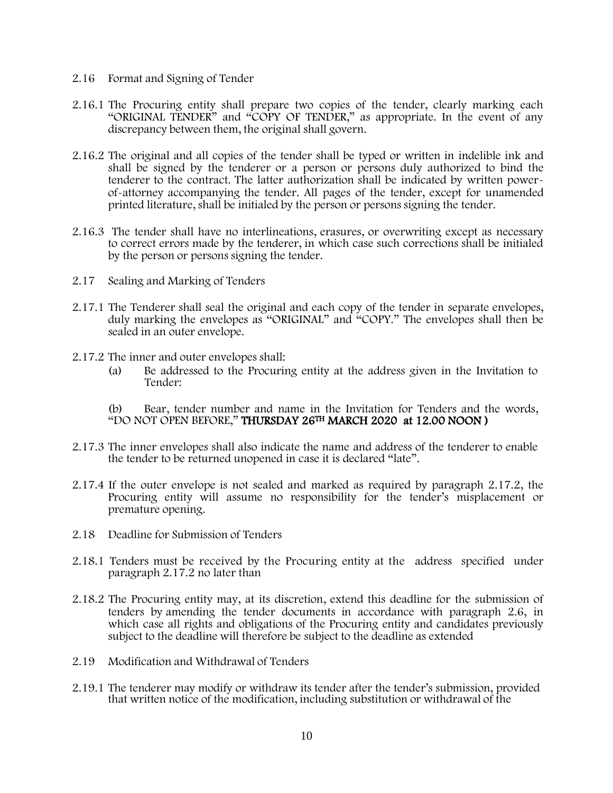- 2.16 Format and Signing of Tender
- 2.16.1 The Procuring entity shall prepare two copies of the tender, clearly marking each "ORIGINAL TENDER" and "COPY OF TENDER," as appropriate. In the event of any discrepancy between them, the original shall govern.
- 2.16.2 The original and all copies of the tender shall be typed or written in indelible ink and shall be signed by the tenderer or a person or persons duly authorized to bind the tenderer to the contract. The latter authorization shall be indicated by written powerof-attorney accompanying the tender. All pages of the tender, except for unamended printed literature, shall be initialed by the person or persons signing the tender.
- 2.16.3 The tender shall have no interlineations, erasures, or overwriting except as necessary to correct errors made by the tenderer, in which case such corrections shall be initialed by the person or persons signing the tender.
- 2.17 Sealing and Marking of Tenders
- 2.17.1 The Tenderer shall seal the original and each copy of the tender in separate envelopes, duly marking the envelopes as "ORIGINAL" and "COPY." The envelopes shall then be sealed in an outer envelope.
- 2.17.2 The inner and outer envelopes shall:
	- (a) Be addressed to the Procuring entity at the address given in the Invitation to Tender:
	- (b) Bear, tender number and name in the Invitation for Tenders and the words, "DO NOT OPEN BEFORE," THURSDAY 26TH MARCH 2020 at 12.00 NOON )
- 2.17.3 The inner envelopes shall also indicate the name and address of the tenderer to enable the tender to be returned unopened in case it is declared "late".
- 2.17.4 If the outer envelope is not sealed and marked as required by paragraph 2.17.2, the Procuring entity will assume no responsibility for the tender's misplacement or premature opening.
- 2.18 Deadline for Submission of Tenders
- 2.18.1 Tenders must be received by the Procuring entity at the address specified under paragraph 2.17.2 no later than
- 2.18.2 The Procuring entity may, at its discretion, extend this deadline for the submission of tenders by amending the tender documents in accordance with paragraph 2.6, in which case all rights and obligations of the Procuring entity and candidates previously subject to the deadline will therefore be subject to the deadline as extended
- 2.19 Modification and Withdrawal of Tenders
- 2.19.1 The tenderer may modify or withdraw its tender after the tender's submission, provided that written notice of the modification, including substitution or withdrawal of the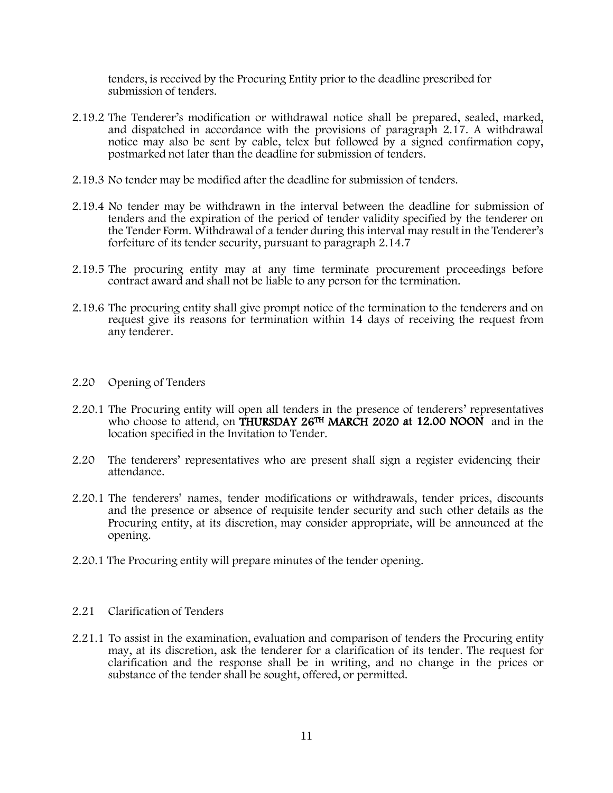tenders, is received by the Procuring Entity prior to the deadline prescribed for submission of tenders.

- 2.19.2 The Tenderer's modification or withdrawal notice shall be prepared, sealed, marked, and dispatched in accordance with the provisions of paragraph 2.17. A withdrawal notice may also be sent by cable, telex but followed by a signed confirmation copy, postmarked not later than the deadline for submission of tenders.
- 2.19.3 No tender may be modified after the deadline for submission of tenders.
- 2.19.4 No tender may be withdrawn in the interval between the deadline for submission of tenders and the expiration of the period of tender validity specified by the tenderer on the Tender Form. Withdrawal of a tender during this interval may result in the Tenderer's forfeiture of its tender security, pursuant to paragraph 2.14.7
- 2.19.5 The procuring entity may at any time terminate procurement proceedings before contract award and shall not be liable to any person for the termination.
- 2.19.6 The procuring entity shall give prompt notice of the termination to the tenderers and on request give its reasons for termination within 14 days of receiving the request from any tenderer.
- 2.20 Opening of Tenders
- 2.20.1 The Procuring entity will open all tenders in the presence of tenderers' representatives who choose to attend, on **THURSDAY 26<sup>TH</sup> MARCH 2020 at 12.00 NOON** and in the location specified in the Invitation to Tender.
- 2.20 The tenderers' representatives who are present shall sign a register evidencing their attendance.
- 2.20.1 The tenderers' names, tender modifications or withdrawals, tender prices, discounts and the presence or absence of requisite tender security and such other details as the Procuring entity, at its discretion, may consider appropriate, will be announced at the opening.
- 2.20.1 The Procuring entity will prepare minutes of the tender opening.
- 2.21 Clarification of Tenders
- 2.21.1 To assist in the examination, evaluation and comparison of tenders the Procuring entity may, at its discretion, ask the tenderer for a clarification of its tender. The request for clarification and the response shall be in writing, and no change in the prices or substance of the tender shall be sought, offered, or permitted.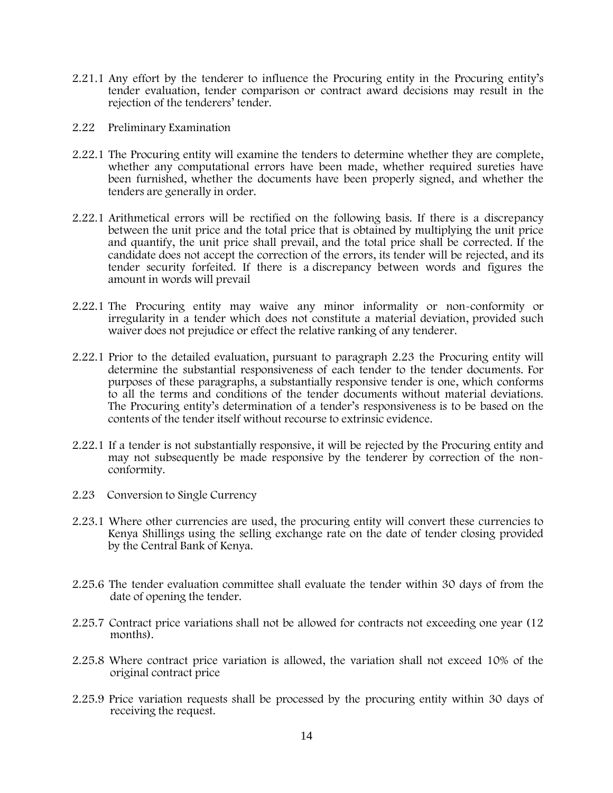- 2.21.1 Any effort by the tenderer to influence the Procuring entity in the Procuring entity's tender evaluation, tender comparison or contract award decisions may result in the rejection of the tenderers' tender.
- 2.22 Preliminary Examination
- 2.22.1 The Procuring entity will examine the tenders to determine whether they are complete, whether any computational errors have been made, whether required sureties have been furnished, whether the documents have been properly signed, and whether the tenders are generally in order.
- 2.22.1 Arithmetical errors will be rectified on the following basis. If there is a discrepancy between the unit price and the total price that is obtained by multiplying the unit price and quantify, the unit price shall prevail, and the total price shall be corrected. If the candidate does not accept the correction of the errors, its tender will be rejected, and its tender security forfeited. If there is a discrepancy between words and figures the amount in words will prevail
- 2.22.1 The Procuring entity may waive any minor informality or non-conformity or irregularity in a tender which does not constitute a material deviation, provided such waiver does not prejudice or effect the relative ranking of any tenderer.
- 2.22.1 Prior to the detailed evaluation, pursuant to paragraph 2.23 the Procuring entity will determine the substantial responsiveness of each tender to the tender documents. For purposes of these paragraphs, a substantially responsive tender is one, which conforms to all the terms and conditions of the tender documents without material deviations. The Procuring entity's determination of a tender's responsiveness is to be based on the contents of the tender itself without recourse to extrinsic evidence.
- 2.22.1 If a tender is not substantially responsive, it will be rejected by the Procuring entity and may not subsequently be made responsive by the tenderer by correction of the nonconformity.
- 2.23 Conversion to Single Currency
- 2.23.1 Where other currencies are used, the procuring entity will convert these currencies to Kenya Shillings using the selling exchange rate on the date of tender closing provided by the Central Bank of Kenya.
- 2.25.6 The tender evaluation committee shall evaluate the tender within 30 days of from the date of opening the tender.
- 2.25.7 Contract price variations shall not be allowed for contracts not exceeding one year (12 months).
- 2.25.8 Where contract price variation is allowed, the variation shall not exceed 10% of the original contract price
- 2.25.9 Price variation requests shall be processed by the procuring entity within 30 days of receiving the request.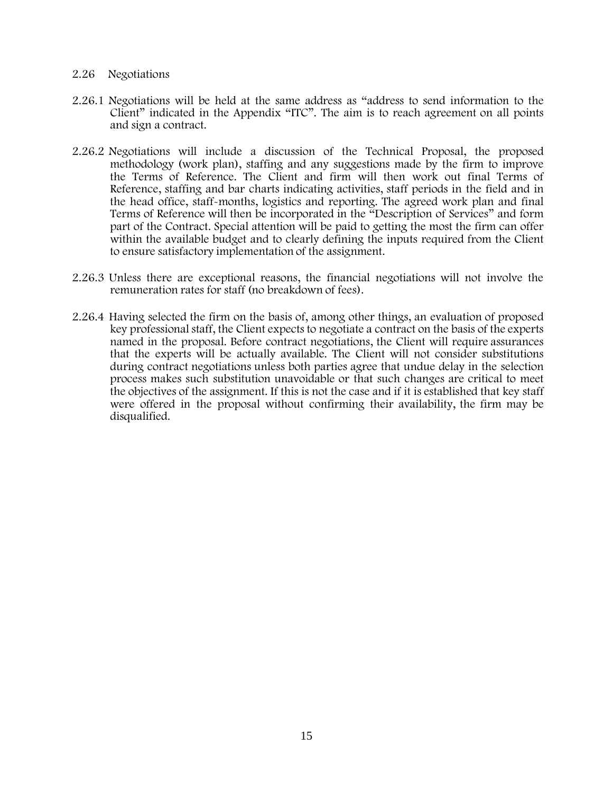### 2.26 Negotiations

- 2.26.1 Negotiations will be held at the same address as "address to send information to the Client" indicated in the Appendix "ITC". The aim is to reach agreement on all points and sign a contract.
- 2.26.2 Negotiations will include a discussion of the Technical Proposal, the proposed methodology (work plan), staffing and any suggestions made by the firm to improve the Terms of Reference. The Client and firm will then work out final Terms of Reference, staffing and bar charts indicating activities, staff periods in the field and in the head office, staff-months, logistics and reporting. The agreed work plan and final Terms of Reference will then be incorporated in the "Description of Services" and form part of the Contract. Special attention will be paid to getting the most the firm can offer within the available budget and to clearly defining the inputs required from the Client to ensure satisfactory implementation of the assignment.
- 2.26.3 Unless there are exceptional reasons, the financial negotiations will not involve the remuneration rates for staff (no breakdown of fees).
- 2.26.4 Having selected the firm on the basis of, among other things, an evaluation of proposed key professional staff, the Client expects to negotiate a contract on the basis of the experts named in the proposal. Before contract negotiations, the Client will require assurances that the experts will be actually available. The Client will not consider substitutions during contract negotiations unless both parties agree that undue delay in the selection process makes such substitution unavoidable or that such changes are critical to meet the objectives of the assignment. If this is not the case and if it is established that key staff were offered in the proposal without confirming their availability, the firm may be disqualified.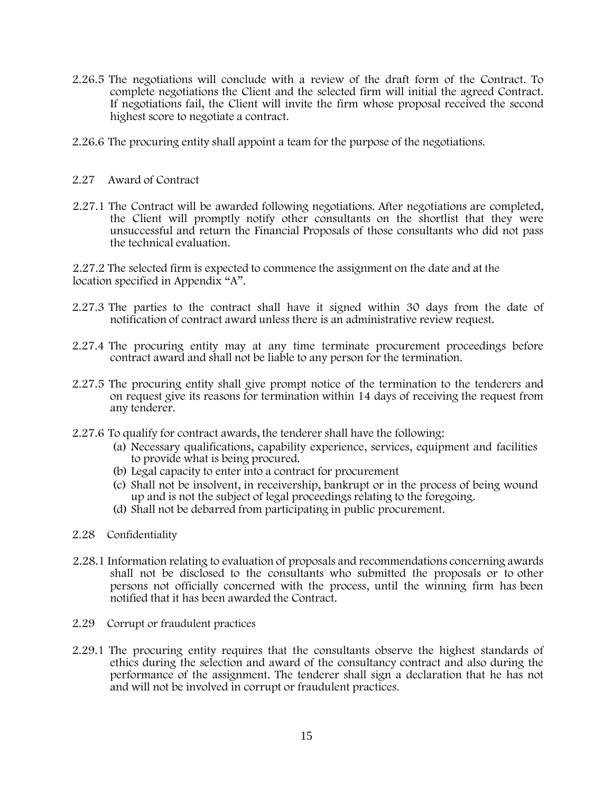- 2.26.5 The negotiations will conclude with a review of the draft form of the Contract. To complete negotiations the Client and the selected firm will initial the agreed Contract. If negotiations fail, the Client will invite the firm whose proposal received the second highest score to negotiate a contract.
- 2.26.6 The procuring entity shall appoint a team for the purpose of the negotiations.
- 2.27 Award of Contract
- 2.27.1 The Contract will be awarded following negotiations. After negotiations are completed, the Client will promptly notify other consultants on the shortlist that they were unsuccessful and return the Financial Proposals of those consultants who did not pass the technical evaluation.

2.27.2 The selected firm is expected to commence the assignment on the date and at the location specified in Appendix "A".

- 2.27.3 The parties to the contract shall have it signed within 30 days from the date of notification of contract award unless there is an administrative review request.
- 2.27.4 The procuring entity may at any time terminate procurement proceedings before contract award and shall not be liable to any person for the termination.
- 2.27.5 The procuring entity shall give prompt notice of the termination to the tenderers and on request give its reasons for termination within 14 days of receiving the request from any tenderer.
- 2.27.6 To qualify for contract awards, the tenderer shall have the following:
	- (a) Necessary qualifications, capability experience, services, equipment and facilities to provide what is being procured.
	- (b) Legal capacity to enter into a contract for procurement
	- (c) Shall not be insolvent, in receivership, bankrupt or in the process of being wound up and is not the subject of legal proceedings relating to the foregoing.
	- (d) Shall not be debarred from participating in public procurement.
- 2.28 Confidentiality
- 2.28.1 Information relating to evaluation of proposals and recommendations concerning awards shall not be disclosed to the consultants who submitted the proposals or to other persons not officially concerned with the process, until the winning firm has been notified that it has been awarded the Contract.
- 2.29 Corrupt or fraudulent practices
- 2.29.1 The procuring entity requires that the consultants observe the highest standards of ethics during the selection and award of the consultancy contract and also during the performance of the assignment. The tenderer shall sign a declaration that he has not and will not be involved in corrupt or fraudulent practices.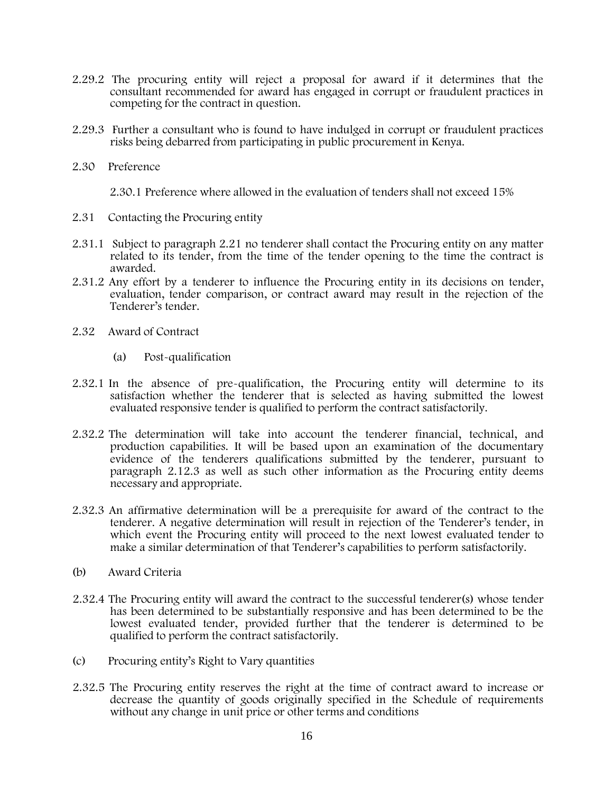- 2.29.2 The procuring entity will reject a proposal for award if it determines that the consultant recommended for award has engaged in corrupt or fraudulent practices in competing for the contract in question.
- 2.29.3 Further a consultant who is found to have indulged in corrupt or fraudulent practices risks being debarred from participating in public procurement in Kenya.
- 2.30 Preference

2.30.1 Preference where allowed in the evaluation of tenders shall not exceed 15%

- 2.31 Contacting the Procuring entity
- 2.31.1 Subject to paragraph 2.21 no tenderer shall contact the Procuring entity on any matter related to its tender, from the time of the tender opening to the time the contract is awarded.
- 2.31.2 Any effort by a tenderer to influence the Procuring entity in its decisions on tender, evaluation, tender comparison, or contract award may result in the rejection of the Tenderer's tender.
- 2.32 Award of Contract
	- (a) Post-qualification
- 2.32.1 In the absence of pre-qualification, the Procuring entity will determine to its satisfaction whether the tenderer that is selected as having submitted the lowest evaluated responsive tender is qualified to perform the contract satisfactorily.
- 2.32.2 The determination will take into account the tenderer financial, technical, and production capabilities. It will be based upon an examination of the documentary evidence of the tenderers qualifications submitted by the tenderer, pursuant to paragraph 2.12.3 as well as such other information as the Procuring entity deems necessary and appropriate.
- 2.32.3 An affirmative determination will be a prerequisite for award of the contract to the tenderer. A negative determination will result in rejection of the Tenderer's tender, in which event the Procuring entity will proceed to the next lowest evaluated tender to make a similar determination of that Tenderer's capabilities to perform satisfactorily.
- (b) Award Criteria
- 2.32.4 The Procuring entity will award the contract to the successful tenderer(s) whose tender has been determined to be substantially responsive and has been determined to be the lowest evaluated tender, provided further that the tenderer is determined to be qualified to perform the contract satisfactorily.
- (c) Procuring entity's Right to Vary quantities
- 2.32.5 The Procuring entity reserves the right at the time of contract award to increase or decrease the quantity of goods originally specified in the Schedule of requirements without any change in unit price or other terms and conditions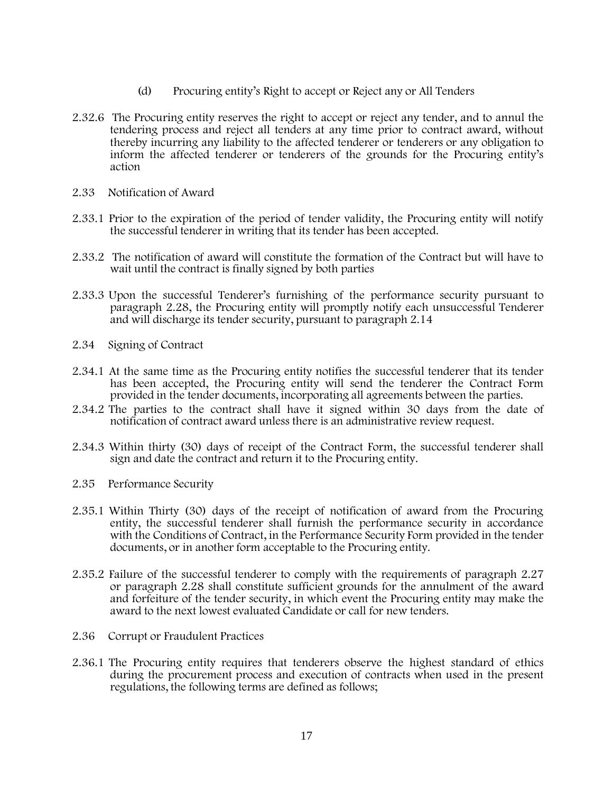- (d) Procuring entity's Right to accept or Reject any or All Tenders
- 2.32.6 The Procuring entity reserves the right to accept or reject any tender, and to annul the tendering process and reject all tenders at any time prior to contract award, without thereby incurring any liability to the affected tenderer or tenderers or any obligation to inform the affected tenderer or tenderers of the grounds for the Procuring entity's action
- 2.33 Notification of Award
- 2.33.1 Prior to the expiration of the period of tender validity, the Procuring entity will notify the successful tenderer in writing that its tender has been accepted.
- 2.33.2 The notification of award will constitute the formation of the Contract but will have to wait until the contract is finally signed by both parties
- 2.33.3 Upon the successful Tenderer's furnishing of the performance security pursuant to paragraph 2.28, the Procuring entity will promptly notify each unsuccessful Tenderer and will discharge its tender security, pursuant to paragraph 2.14
- 2.34 Signing of Contract
- 2.34.1 At the same time as the Procuring entity notifies the successful tenderer that its tender has been accepted, the Procuring entity will send the tenderer the Contract Form provided in the tender documents, incorporating all agreements between the parties.
- 2.34.2 The parties to the contract shall have it signed within 30 days from the date of notification of contract award unless there is an administrative review request.
- 2.34.3 Within thirty (30) days of receipt of the Contract Form, the successful tenderer shall sign and date the contract and return it to the Procuring entity.
- 2.35 Performance Security
- 2.35.1 Within Thirty (30) days of the receipt of notification of award from the Procuring entity, the successful tenderer shall furnish the performance security in accordance with the Conditions of Contract, in the Performance Security Form provided in the tender documents, or in another form acceptable to the Procuring entity.
- 2.35.2 Failure of the successful tenderer to comply with the requirements of paragraph 2.27 or paragraph 2.28 shall constitute sufficient grounds for the annulment of the award and forfeiture of the tender security, in which event the Procuring entity may make the award to the next lowest evaluated Candidate or call for new tenders.
- 2.36 Corrupt or Fraudulent Practices
- 2.36.1 The Procuring entity requires that tenderers observe the highest standard of ethics during the procurement process and execution of contracts when used in the present regulations, the following terms are defined as follows;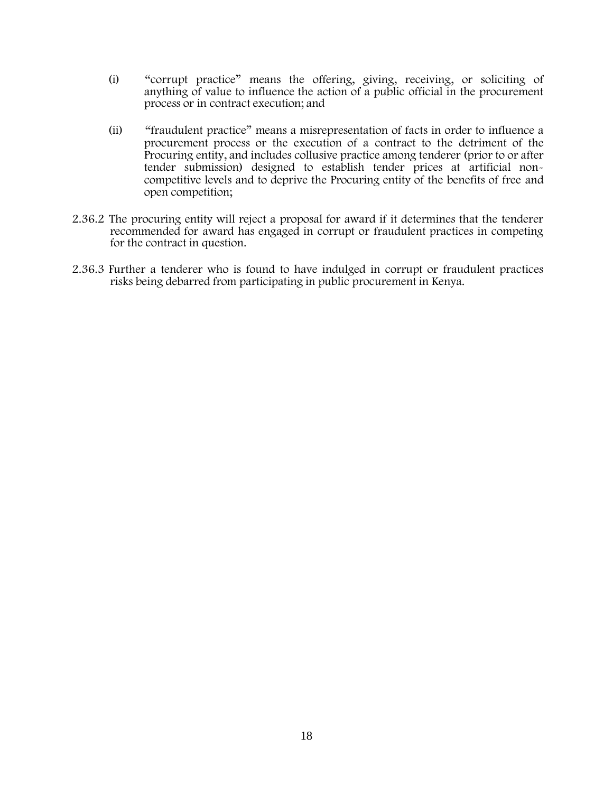- (i) "corrupt practice" means the offering, giving, receiving, or soliciting of anything of value to influence the action of a public official in the procurement process or in contract execution; and
- (ii) "fraudulent practice" means a misrepresentation of facts in order to influence a procurement process or the execution of a contract to the detriment of the Procuring entity, and includes collusive practice among tenderer (prior to or after tender submission) designed to establish tender prices at artificial noncompetitive levels and to deprive the Procuring entity of the benefits of free and open competition;
- 2.36.2 The procuring entity will reject a proposal for award if it determines that the tenderer recommended for award has engaged in corrupt or fraudulent practices in competing for the contract in question.
- 2.36.3 Further a tenderer who is found to have indulged in corrupt or fraudulent practices risks being debarred from participating in public procurement in Kenya.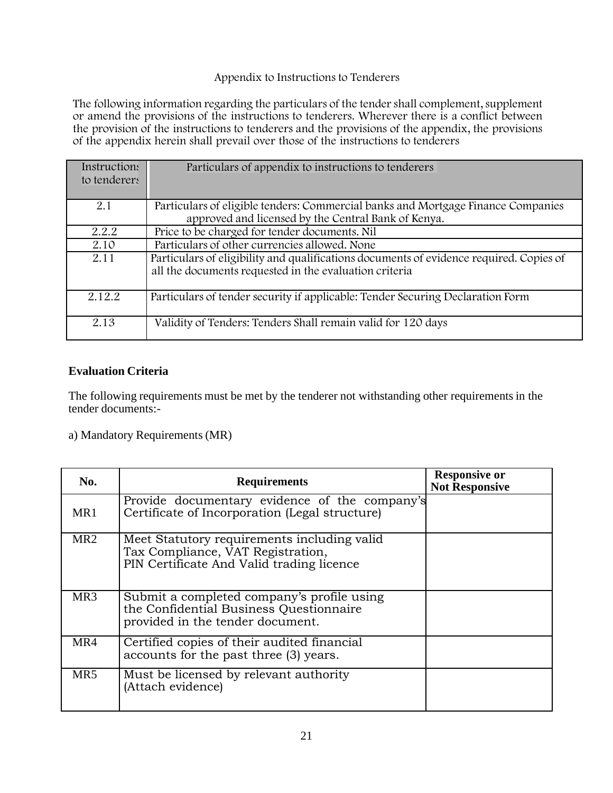# Appendix to Instructions to Tenderers

The following information regarding the particulars of the tender shall complement, supplement or amend the provisions of the instructions to tenderers. Wherever there is a conflict between the provision of the instructions to tenderers and the provisions of the appendix, the provisions of the appendix herein shall prevail over those of the instructions to tenderers

| Instructions<br>to tenderers | Particulars of appendix to instructions to tenderers                                                                                              |
|------------------------------|---------------------------------------------------------------------------------------------------------------------------------------------------|
| 2.1                          | Particulars of eligible tenders: Commercial banks and Mortgage Finance Companies<br>approved and licensed by the Central Bank of Kenya.           |
| 2.2.2                        | Price to be charged for tender documents. Nil                                                                                                     |
| 2.10                         | Particulars of other currencies allowed. None                                                                                                     |
| 2.11                         | Particulars of eligibility and qualifications documents of evidence required. Copies of<br>all the documents requested in the evaluation criteria |
| 2.12.2                       | Particulars of tender security if applicable: Tender Securing Declaration Form                                                                    |
| 2.13                         | Validity of Tenders: Tenders Shall remain valid for 120 days                                                                                      |

# **Evaluation Criteria**

The following requirements must be met by the tenderer not withstanding other requirements in the tender documents:-

a) Mandatory Requirements(MR)

| No.             | <b>Requirements</b>                                                                                                           | <b>Responsive or</b><br><b>Not Responsive</b> |
|-----------------|-------------------------------------------------------------------------------------------------------------------------------|-----------------------------------------------|
| MR1             | Provide documentary evidence of the company's<br>Certificate of Incorporation (Legal structure)                               |                                               |
| MR <sub>2</sub> | Meet Statutory requirements including valid<br>Tax Compliance, VAT Registration,<br>PIN Certificate And Valid trading licence |                                               |
| MR <sub>3</sub> | Submit a completed company's profile using<br>the Confidential Business Questionnaire<br>provided in the tender document.     |                                               |
| MR4             | Certified copies of their audited financial<br>accounts for the past three (3) years.                                         |                                               |
| MR <sub>5</sub> | Must be licensed by relevant authority<br>(Attach evidence)                                                                   |                                               |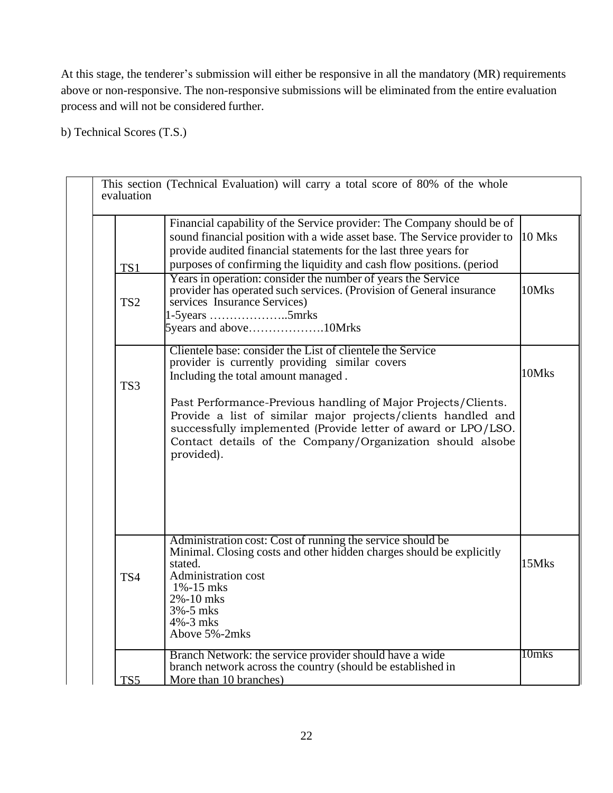At this stage, the tenderer's submission will either be responsive in all the mandatory (MR) requirements above or non-responsive. The non-responsive submissions will be eliminated from the entire evaluation process and will not be considered further.

b) Technical Scores (T.S.)

|                 | Financial capability of the Service provider: The Company should be of                                                                                                                                                                                                    |        |
|-----------------|---------------------------------------------------------------------------------------------------------------------------------------------------------------------------------------------------------------------------------------------------------------------------|--------|
|                 | sound financial position with a wide asset base. The Service provider to<br>provide audited financial statements for the last three years for                                                                                                                             | 10 Mks |
| TS1             | purposes of confirming the liquidity and cash flow positions. (period                                                                                                                                                                                                     |        |
| TS <sub>2</sub> | Years in operation: consider the number of years the Service<br>provider has operated such services. (Provision of General insurance<br>services Insurance Services)<br>$1-5$ years 5mrks<br>5years and above10Mrks                                                       | 10Mks  |
|                 |                                                                                                                                                                                                                                                                           |        |
|                 | Clientele base: consider the List of clientele the Service<br>provider is currently providing similar covers                                                                                                                                                              |        |
| TS <sub>3</sub> | Including the total amount managed.                                                                                                                                                                                                                                       | 10Mks  |
|                 | Past Performance-Previous handling of Major Projects/Clients.<br>Provide a list of similar major projects/clients handled and<br>successfully implemented (Provide letter of award or LPO/LSO.<br>Contact details of the Company/Organization should alsobe<br>provided). |        |
| TS4             | Administration cost: Cost of running the service should be<br>Minimal. Closing costs and other hidden charges should be explicitly<br>stated.<br><b>Administration cost</b><br>$1\% - 15$ mks<br>2%-10 mks<br>$3\% - 5$ mks<br>$4\% - 3$ mks                              | 15Mks  |
|                 | Above 5%-2mks                                                                                                                                                                                                                                                             |        |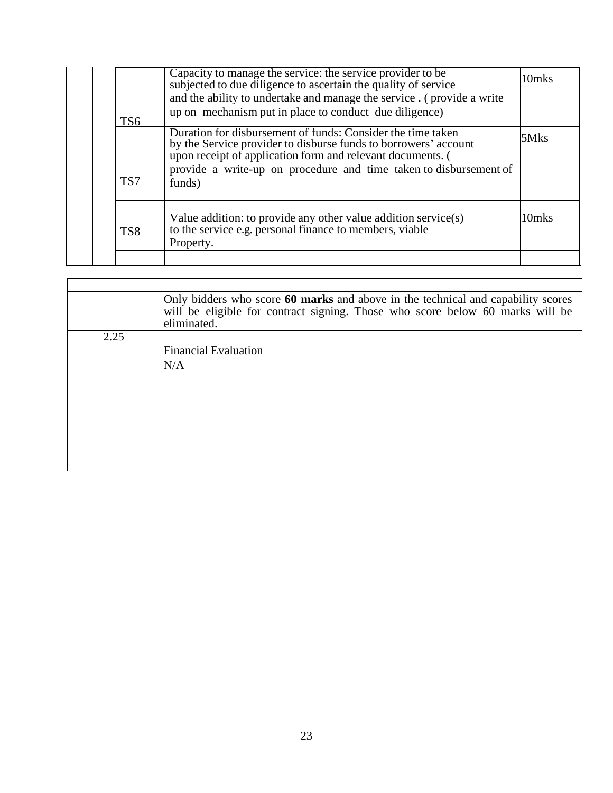| TS <sub>6</sub> | Capacity to manage the service: the service provider to be<br>subjected to due diligence to ascertain the quality of service<br>and the ability to undertake and manage the service. (provide a write<br>up on mechanism put in place to conduct due diligence)             | 10mks |
|-----------------|-----------------------------------------------------------------------------------------------------------------------------------------------------------------------------------------------------------------------------------------------------------------------------|-------|
| TS7             | Duration for disbursement of funds: Consider the time taken<br>by the Service provider to disburse funds to borrowers' account<br>upon receipt of application form and relevant documents. (<br>provide a write-up on procedure and time taken to disbursement of<br>funds) | 5Mks  |
| TS <sub>8</sub> | Value addition: to provide any other value addition service(s) to the service e.g. personal finance to members, viable<br>Property.                                                                                                                                         | 10mks |

|      | Only bidders who score 60 marks and above in the technical and capability scores<br>will be eligible for contract signing. Those who score below 60 marks will be<br>eliminated. |
|------|----------------------------------------------------------------------------------------------------------------------------------------------------------------------------------|
| 2.25 |                                                                                                                                                                                  |
|      | <b>Financial Evaluation</b>                                                                                                                                                      |
|      | N/A                                                                                                                                                                              |
|      |                                                                                                                                                                                  |
|      |                                                                                                                                                                                  |
|      |                                                                                                                                                                                  |
|      |                                                                                                                                                                                  |
|      |                                                                                                                                                                                  |
|      |                                                                                                                                                                                  |
|      |                                                                                                                                                                                  |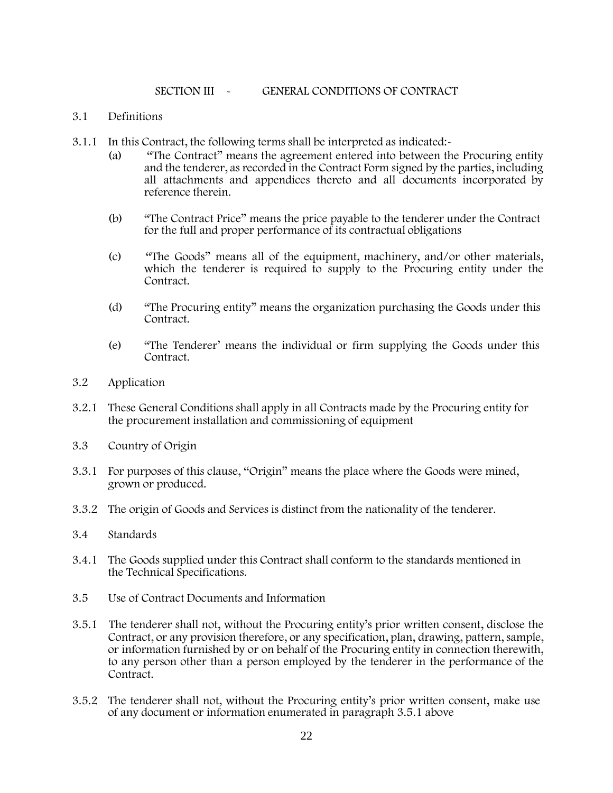### SECTION III - GENERAL CONDITIONS OF CONTRACT

# 3.1 Definitions

- 3.1.1 In this Contract, the following terms shall be interpreted as indicated:-
	- (a) "The Contract" means the agreement entered into between the Procuring entity and the tenderer, as recorded in the Contract Form signed by the parties, including all attachments and appendices thereto and all documents incorporated by reference therein.
	- (b) "The Contract Price" means the price payable to the tenderer under the Contract for the full and proper performance of its contractual obligations
	- (c) "The Goods" means all of the equipment, machinery, and/or other materials, which the tenderer is required to supply to the Procuring entity under the Contract.
	- (d) "The Procuring entity" means the organization purchasing the Goods under this Contract.
	- (e) "The Tenderer' means the individual or firm supplying the Goods under this Contract.
- 3.2 Application
- 3.2.1 These General Conditions shall apply in all Contracts made by the Procuring entity for the procurement installation and commissioning of equipment
- 3.3 Country of Origin
- 3.3.1 For purposes of this clause, "Origin" means the place where the Goods were mined, grown or produced.
- 3.3.2 The origin of Goods and Services is distinct from the nationality of the tenderer.
- 3.4 Standards
- 3.4.1 The Goods supplied under this Contract shall conform to the standards mentioned in the Technical Specifications.
- 3.5 Use of Contract Documents and Information
- 3.5.1 The tenderer shall not, without the Procuring entity's prior written consent, disclose the Contract, or any provision therefore, or any specification, plan, drawing, pattern, sample, or information furnished by or on behalf of the Procuring entity in connection therewith, to any person other than a person employed by the tenderer in the performance of the Contract.
- 3.5.2 The tenderer shall not, without the Procuring entity's prior written consent, make use of any document or information enumerated in paragraph 3.5.1 above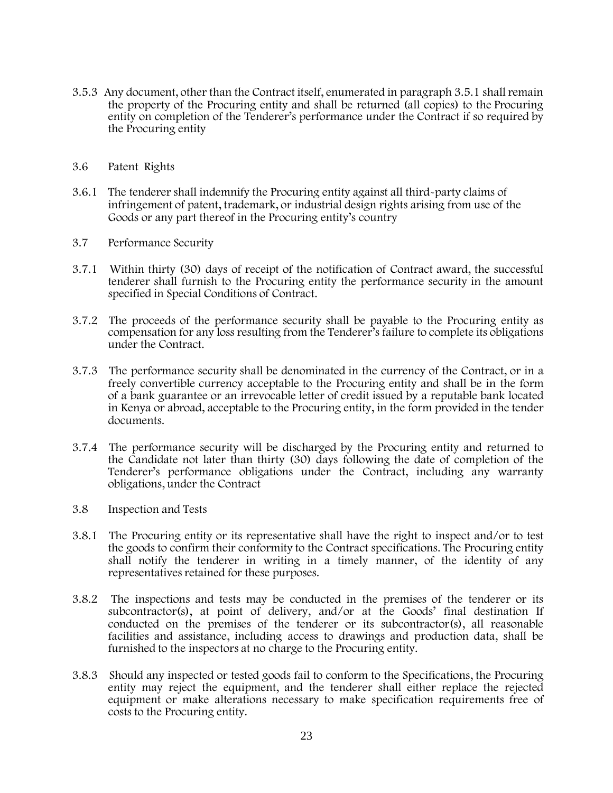- 3.5.3 Any document, other than the Contract itself, enumerated in paragraph 3.5.1 shall remain the property of the Procuring entity and shall be returned (all copies) to the Procuring entity on completion of the Tenderer's performance under the Contract if so required by the Procuring entity
- 3.6 Patent Rights
- 3.6.1 The tenderer shall indemnify the Procuring entity against all third-party claims of infringement of patent, trademark, or industrial design rights arising from use of the Goods or any part thereof in the Procuring entity's country
- 3.7 Performance Security
- 3.7.1 Within thirty (30) days of receipt of the notification of Contract award, the successful tenderer shall furnish to the Procuring entity the performance security in the amount specified in Special Conditions of Contract.
- 3.7.2 The proceeds of the performance security shall be payable to the Procuring entity as compensation for any loss resulting from the Tenderer's failure to complete its obligations under the Contract.
- 3.7.3 The performance security shall be denominated in the currency of the Contract, or in a freely convertible currency acceptable to the Procuring entity and shall be in the form of a bank guarantee or an irrevocable letter of credit issued by a reputable bank located in Kenya or abroad, acceptable to the Procuring entity, in the form provided in the tender documents.
- 3.7.4 The performance security will be discharged by the Procuring entity and returned to the Candidate not later than thirty (30) days following the date of completion of the Tenderer's performance obligations under the Contract, including any warranty obligations, under the Contract
- 3.8 Inspection and Tests
- 3.8.1 The Procuring entity or its representative shall have the right to inspect and/or to test the goods to confirm their conformity to the Contract specifications. The Procuring entity shall notify the tenderer in writing in a timely manner, of the identity of any representatives retained for these purposes.
- 3.8.2 The inspections and tests may be conducted in the premises of the tenderer or its subcontractor(s), at point of delivery, and/or at the Goods' final destination If conducted on the premises of the tenderer or its subcontractor(s), all reasonable facilities and assistance, including access to drawings and production data, shall be furnished to the inspectors at no charge to the Procuring entity.
- 3.8.3 Should any inspected or tested goods fail to conform to the Specifications, the Procuring entity may reject the equipment, and the tenderer shall either replace the rejected equipment or make alterations necessary to make specification requirements free of costs to the Procuring entity.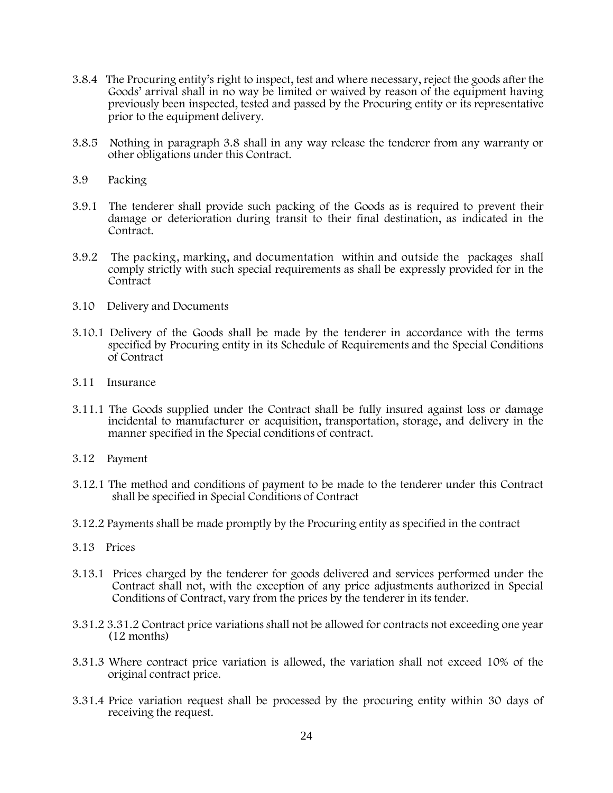- 3.8.4 The Procuring entity's right to inspect, test and where necessary, reject the goods after the Goods' arrival shall in no way be limited or waived by reason of the equipment having previously been inspected, tested and passed by the Procuring entity or its representative prior to the equipment delivery.
- 3.8.5 Nothing in paragraph 3.8 shall in any way release the tenderer from any warranty or other obligations under this Contract.
- 3.9 Packing
- 3.9.1 The tenderer shall provide such packing of the Goods as is required to prevent their damage or deterioration during transit to their final destination, as indicated in the Contract.
- 3.9.2 The packing, marking, and documentation within and outside the packages shall comply strictly with such special requirements as shall be expressly provided for in the Contract
- 3.10 Delivery and Documents
- 3.10.1 Delivery of the Goods shall be made by the tenderer in accordance with the terms specified by Procuring entity in its Schedule of Requirements and the Special Conditions of Contract
- 3.11 Insurance
- 3.11.1 The Goods supplied under the Contract shall be fully insured against loss or damage incidental to manufacturer or acquisition, transportation, storage, and delivery in the manner specified in the Special conditions of contract.
- 3.12 Payment
- 3.12.1 The method and conditions of payment to be made to the tenderer under this Contract shall be specified in Special Conditions of Contract
- 3.12.2 Payments shall be made promptly by the Procuring entity as specified in the contract
- 3.13 Prices
- 3.13.1 Prices charged by the tenderer for goods delivered and services performed under the Contract shall not, with the exception of any price adjustments authorized in Special Conditions of Contract, vary from the prices by the tenderer in its tender.
- 3.31.2 3.31.2 Contract price variations shall not be allowed for contracts not exceeding one year (12 months)
- 3.31.3 Where contract price variation is allowed, the variation shall not exceed 10% of the original contract price.
- 3.31.4 Price variation request shall be processed by the procuring entity within 30 days of receiving the request.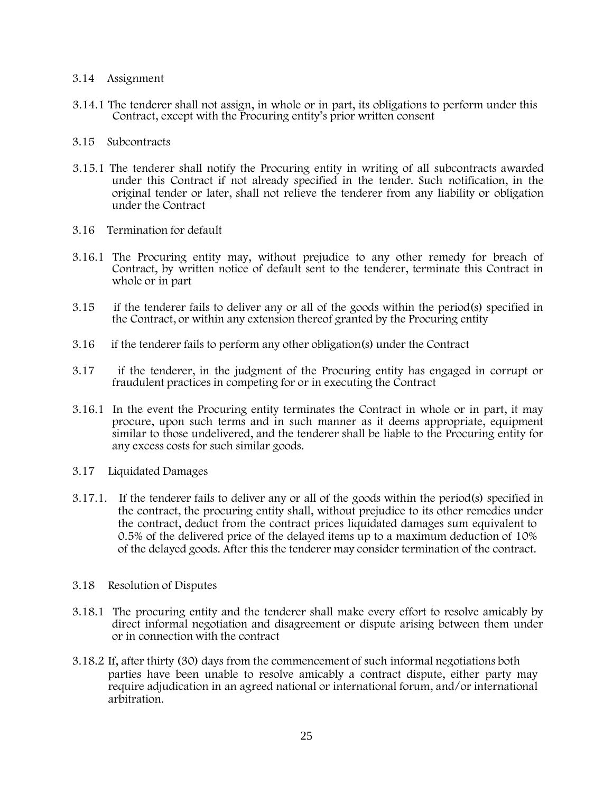### 3.14 Assignment

3.14.1 The tenderer shall not assign, in whole or in part, its obligations to perform under this Contract, except with the Procuring entity's prior written consent

#### 3.15 Subcontracts

- 3.15.1 The tenderer shall notify the Procuring entity in writing of all subcontracts awarded under this Contract if not already specified in the tender. Such notification, in the original tender or later, shall not relieve the tenderer from any liability or obligation under the Contract
- 3.16 Termination for default
- 3.16.1 The Procuring entity may, without prejudice to any other remedy for breach of Contract, by written notice of default sent to the tenderer, terminate this Contract in whole or in part
- 3.15 if the tenderer fails to deliver any or all of the goods within the period(s) specified in the Contract, or within any extension thereof granted by the Procuring entity
- 3.16 if the tenderer fails to perform any other obligation(s) under the Contract
- 3.17 if the tenderer, in the judgment of the Procuring entity has engaged in corrupt or fraudulent practices in competing for or in executing the Contract
- 3.16.1 In the event the Procuring entity terminates the Contract in whole or in part, it may procure, upon such terms and in such manner as it deems appropriate, equipment similar to those undelivered, and the tenderer shall be liable to the Procuring entity for any excess costs for such similar goods.
- 3.17 Liquidated Damages
- 3.17.1. If the tenderer fails to deliver any or all of the goods within the period(s) specified in the contract, the procuring entity shall, without prejudice to its other remedies under the contract, deduct from the contract prices liquidated damages sum equivalent to 0.5% of the delivered price of the delayed items up to a maximum deduction of 10% of the delayed goods. After this the tenderer may consider termination of the contract.
- 3.18 Resolution of Disputes
- 3.18.1 The procuring entity and the tenderer shall make every effort to resolve amicably by direct informal negotiation and disagreement or dispute arising between them under or in connection with the contract
- 3.18.2 If, after thirty (30) days from the commencement of such informal negotiations both parties have been unable to resolve amicably a contract dispute, either party may require adjudication in an agreed national or international forum, and/or international arbitration.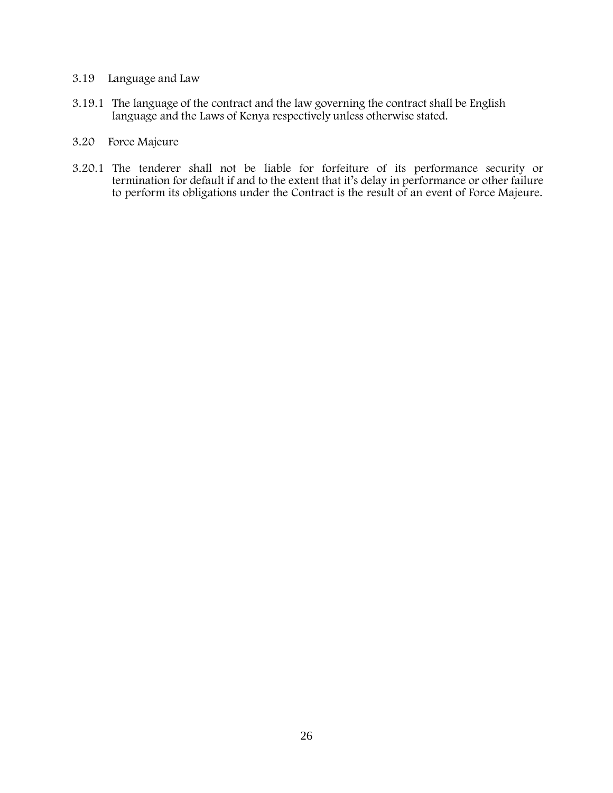# 3.19 Language and Law

- 3.19.1 The language of the contract and the law governing the contract shall be English language and the Laws of Kenya respectively unless otherwise stated.
- 3.20 Force Majeure
- 3.20.1 The tenderer shall not be liable for forfeiture of its performance security or termination for default if and to the extent that it's delay in performance or other failure to perform its obligations under the Contract is the result of an event of Force Majeure.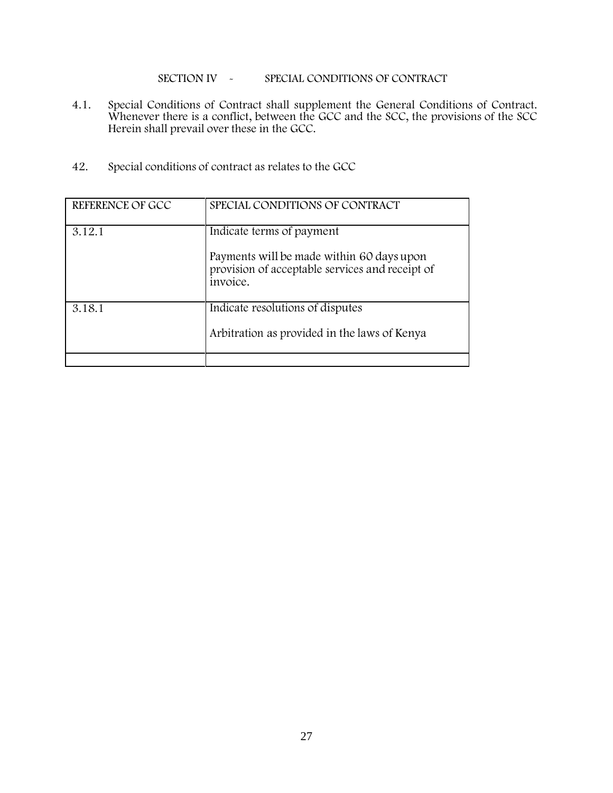SECTION IV - SPECIAL CONDITIONS OF CONTRACT

- 4.1. Special Conditions of Contract shall supplement the General Conditions of Contract. Whenever there is a conflict, between the GCC and the SCC, the provisions of the SCC Herein shall prevail over these in the GCC.
- 42. Special conditions of contract as relates to the GCC

| REFERENCE OF GCC | SPECIAL CONDITIONS OF CONTRACT                                                                                                        |
|------------------|---------------------------------------------------------------------------------------------------------------------------------------|
| 3.12.1           | Indicate terms of payment<br>Payments will be made within 60 days upon<br>provision of acceptable services and receipt of<br>invoice. |
| 3.18.1           | Indicate resolutions of disputes<br>Arbitration as provided in the laws of Kenya                                                      |
|                  |                                                                                                                                       |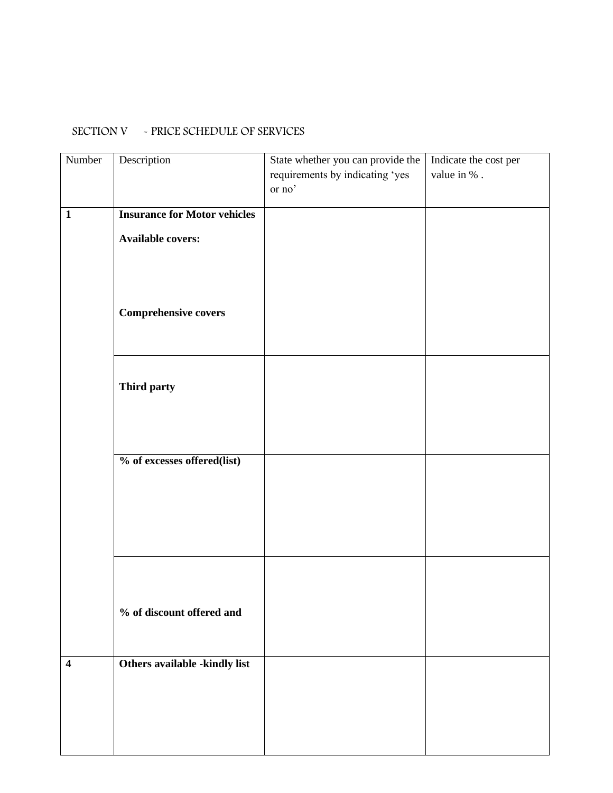# SECTION V - PRICE SCHEDULE OF SERVICES

| Number                  | Description                         | State whether you can provide the | Indicate the cost per |
|-------------------------|-------------------------------------|-----------------------------------|-----------------------|
|                         |                                     | requirements by indicating 'yes   | value in $\%$ .       |
|                         |                                     | or no'                            |                       |
|                         |                                     |                                   |                       |
| $\mathbf{1}$            | <b>Insurance for Motor vehicles</b> |                                   |                       |
|                         | <b>Available covers:</b>            |                                   |                       |
|                         |                                     |                                   |                       |
|                         |                                     |                                   |                       |
|                         |                                     |                                   |                       |
|                         |                                     |                                   |                       |
|                         | <b>Comprehensive covers</b>         |                                   |                       |
|                         |                                     |                                   |                       |
|                         |                                     |                                   |                       |
|                         |                                     |                                   |                       |
|                         | Third party                         |                                   |                       |
|                         |                                     |                                   |                       |
|                         |                                     |                                   |                       |
|                         |                                     |                                   |                       |
|                         |                                     |                                   |                       |
|                         | % of excesses offered(list)         |                                   |                       |
|                         |                                     |                                   |                       |
|                         |                                     |                                   |                       |
|                         |                                     |                                   |                       |
|                         |                                     |                                   |                       |
|                         |                                     |                                   |                       |
|                         |                                     |                                   |                       |
|                         |                                     |                                   |                       |
|                         |                                     |                                   |                       |
|                         | % of discount offered and           |                                   |                       |
|                         |                                     |                                   |                       |
|                         |                                     |                                   |                       |
|                         |                                     |                                   |                       |
| $\overline{\mathbf{4}}$ | Others available -kindly list       |                                   |                       |
|                         |                                     |                                   |                       |
|                         |                                     |                                   |                       |
|                         |                                     |                                   |                       |
|                         |                                     |                                   |                       |
|                         |                                     |                                   |                       |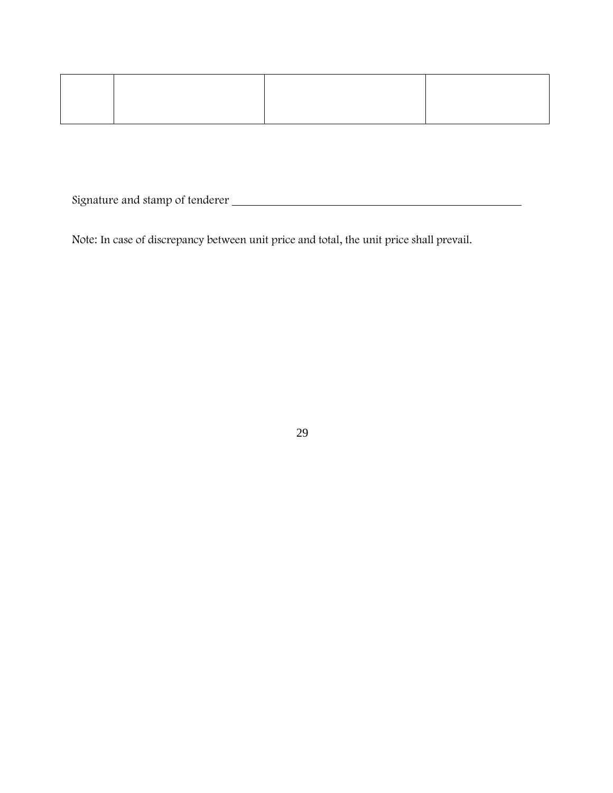Signature and stamp of tenderer

Note: In case of discrepancy between unit price and total, the unit price shall prevail.

29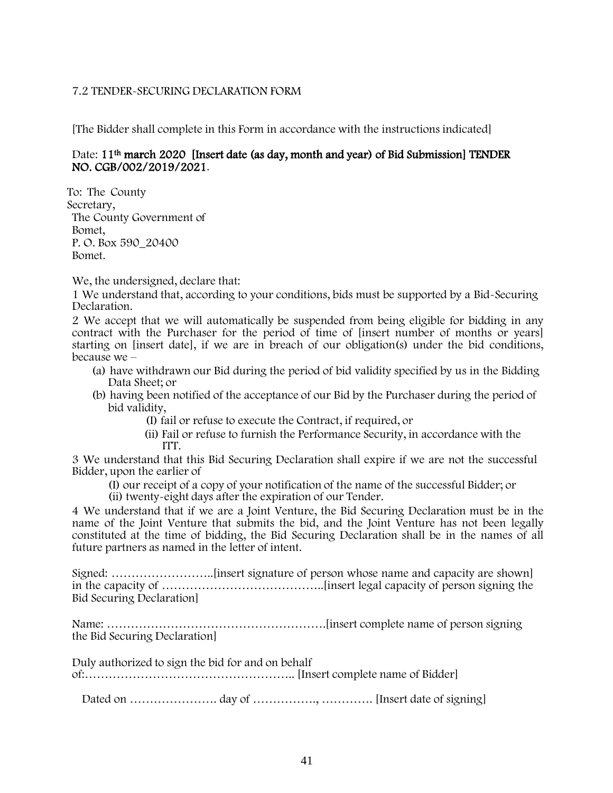# 7.2 TENDER-SECURING DECLARATION FORM

[The Bidder shall complete in this Form in accordance with the instructions indicated]

# Date: 11<sup>th</sup> march 2020 [Insert date (as day, month and year) of Bid Submission] TENDER NO. CGB/002/2019/2021.

To: The County Secretary, The County Government of Bomet, P. O. Box 590\_20400 Bomet.

We, the undersigned, declare that:

1 We understand that, according to your conditions, bids must be supported by a Bid-Securing Declaration.

2 We accept that we will automatically be suspended from being eligible for bidding in any contract with the Purchaser for the period of time of [insert number of months or years] starting on [insert date], if we are in breach of our obligation(s) under the bid conditions, because we –

- (a) have withdrawn our Bid during the period of bid validity specified by us in the Bidding Data Sheet; or
- (b) having been notified of the acceptance of our Bid by the Purchaser during the period of bid validity,

(I) fail or refuse to execute the Contract, if required, or

(ii) Fail or refuse to furnish the Performance Security, in accordance with the ITT.

3 We understand that this Bid Securing Declaration shall expire if we are not the successful Bidder, upon the earlier of

(I) our receipt of a copy of your notification of the name of the successful Bidder; or

(ii) twenty-eight days after the expiration of our Tender.

4 We understand that if we are a Joint Venture, the Bid Securing Declaration must be in the name of the Joint Venture that submits the bid, and the Joint Venture has not been legally constituted at the time of bidding, the Bid Securing Declaration shall be in the names of all future partners as named in the letter of intent.

Signed: ……………………..[insert signature of person whose name and capacity are shown] in the capacity of …………………………………..[insert legal capacity of person signing the Bid Securing Declaration]

Name: ……………………………………………….[insert complete name of person signing the Bid Securing Declaration]

Duly authorized to sign the bid for and on behalf of:…………………………………………….. [Insert complete name of Bidder]

Dated on …………………. day of ……………., …………. [Insert date of signing]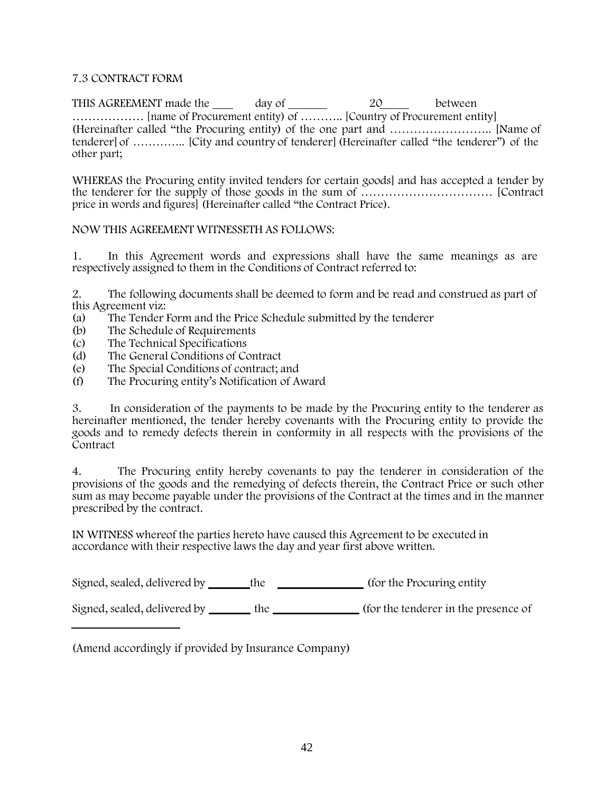# 7.3 CONTRACT FORM

THIS AGREEMENT made the \_\_\_\_ day of \_\_\_\_\_\_\_ 20\_\_\_\_ between ……………… [name of Procurement entity) of ……….. [Country of Procurement entity] (Hereinafter called "the Procuring entity) of the one part and …………………….. [Name of tenderer] of ………….. [City and country of tenderer] (Hereinafter called "the tenderer") of the other part;

WHEREAS the Procuring entity invited tenders for certain goods] and has accepted a tender by the tenderer for the supply of those goods in the sum of …………………………… [Contract price in words and figures] (Hereinafter called "the Contract Price).

# NOW THIS AGREEMENT WITNESSETH AS FOLLOWS:

1. In this Agreement words and expressions shall have the same meanings as are respectively assigned to them in the Conditions of Contract referred to:

2. The following documents shall be deemed to form and be read and construed as part of this Agreement viz:

- (a) The Tender Form and the Price Schedule submitted by the tenderer
- (b) The Schedule of Requirements<br>(c) The Technical Specifications
- (c) The Technical Specifications<br>
(d) The General Conditions of Co
- (d) The General Conditions of Contract<br>(e) The Special Conditions of contract: a
- The Special Conditions of contract; and
- (f) The Procuring entity's Notification of Award

3. In consideration of the payments to be made by the Procuring entity to the tenderer as hereinafter mentioned, the tender hereby covenants with the Procuring entity to provide the goods and to remedy defects therein in conformity in all respects with the provisions of the **Contract** 

4. The Procuring entity hereby covenants to pay the tenderer in consideration of the provisions of the goods and the remedying of defects therein, the Contract Price or such other sum as may become payable under the provisions of the Contract at the times and in the manner prescribed by the contract.

IN WITNESS whereof the parties hereto have caused this Agreement to be executed in accordance with their respective laws the day and year first above written.

Signed, sealed, delivered by \_\_\_\_\_\_\_the (for the Procuring entity)

Signed, sealed, delivered by the (for the tenderer in the presence of

(Amend accordingly if provided by Insurance Company)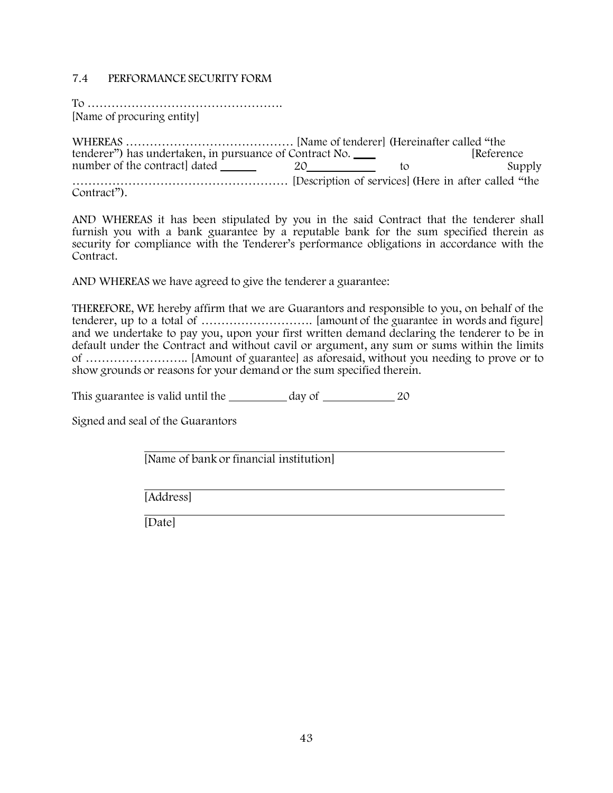# 7.4 PERFORMANCE SECURITY FORM

To …………………………………………. [Name of procuring entity]

tenderer") has undertaken, in pursuance of Contract No. [Reference number of the contract dated 20 to to WHEREAS …………………………………… [Name of tenderer] (Hereinafter called "the ……………………………………………… [Description of services](Here in after called "the Contract").

AND WHEREAS it has been stipulated by you in the said Contract that the tenderer shall furnish you with a bank guarantee by a reputable bank for the sum specified therein as security for compliance with the Tenderer's performance obligations in accordance with the Contract.

AND WHEREAS we have agreed to give the tenderer a guarantee:

THEREFORE, WE hereby affirm that we are Guarantors and responsible to you, on behalf of the tenderer, up to a total of ………………………. [amount of the guarantee in words and figure] and we undertake to pay you, upon your first written demand declaring the tenderer to be in default under the Contract and without cavil or argument, any sum or sums within the limits of …………………….. [Amount of guarantee] as aforesaid, without you needing to prove or to show grounds or reasons for your demand or the sum specified therein.

This guarantee is valid until the \_\_\_\_\_\_\_\_\_ day of \_\_\_\_\_\_\_\_\_\_\_\_\_\_\_\_\_ 20

Signed and seal of the Guarantors

[Name of bank or financial institution]

[Address]

[Date]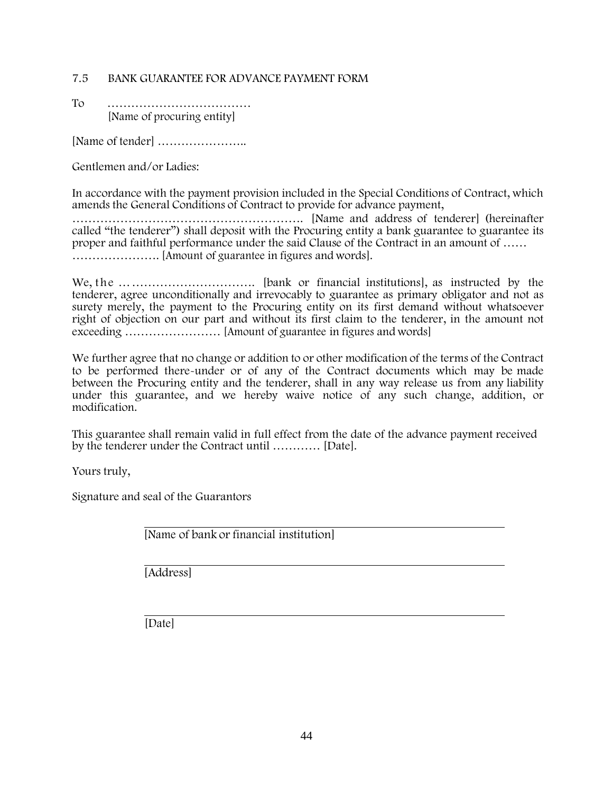# 7.5 BANK GUARANTEE FOR ADVANCE PAYMENT FORM

To ……………………………… [Name of procuring entity]

[Name of tender] …………………..

Gentlemen and/or Ladies:

In accordance with the payment provision included in the Special Conditions of Contract, which amends the General Conditions of Contract to provide for advance payment,

…………………………………………………. [Name and address of tenderer] (hereinafter called "the tenderer") shall deposit with the Procuring entity a bank guarantee to guarantee its proper and faithful performance under the said Clause of the Contract in an amount of …… …………………. [Amount of guarantee in figures and words].

We, the ……………………………. [bank or financial institutions], as instructed by the tenderer, agree unconditionally and irrevocably to guarantee as primary obligator and not as surety merely, the payment to the Procuring entity on its first demand without whatsoever right of objection on our part and without its first claim to the tenderer, in the amount not exceeding …………………… [Amount of guarantee in figures and words]

We further agree that no change or addition to or other modification of the terms of the Contract to be performed there-under or of any of the Contract documents which may be made between the Procuring entity and the tenderer, shall in any way release us from any liability under this guarantee, and we hereby waive notice of any such change, addition, or modification.

This guarantee shall remain valid in full effect from the date of the advance payment received by the tenderer under the Contract until ………… [Date].

Yours truly,

Signature and seal of the Guarantors

[Name of bank or financial institution]

[Address]

[Date]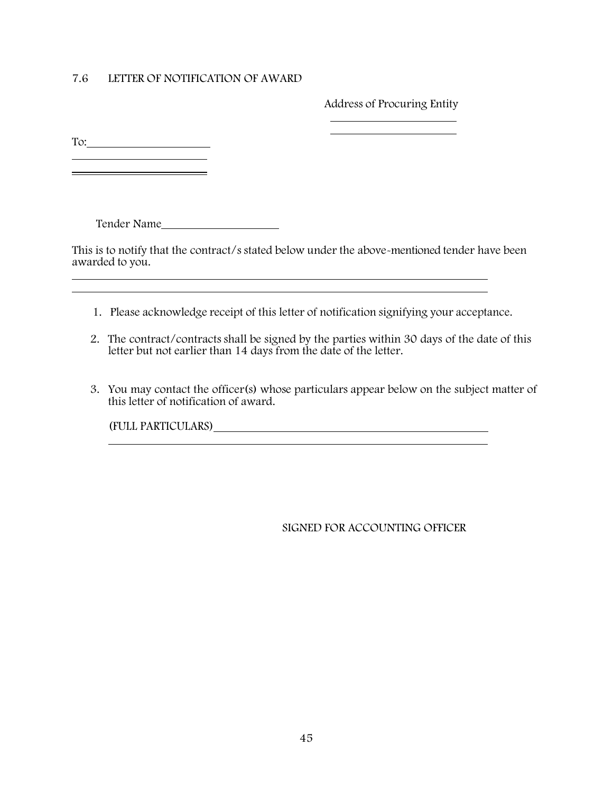# 7.6 LETTER OF NOTIFICATION OF AWARD

Address of Procuring Entity

To:

<u> 1989 - Johann Barn, mars and de Branch Barn, mars and de Branch Barn, mars and de Branch Barn, mars and de Br</u>

Tender Name

This is to notify that the contract/s stated below under the above-mentioned tender have been awarded to you.

- 1. Please acknowledge receipt of this letter of notification signifying your acceptance.
- 2. The contract/contracts shall be signed by the parties within 30 days of the date of this letter but not earlier than 14 days from the date of the letter.
- 3. You may contact the officer(s) whose particulars appear below on the subject matter of this letter of notification of award.

(FULL PARTICULARS)

SIGNED FOR ACCOUNTING OFFICER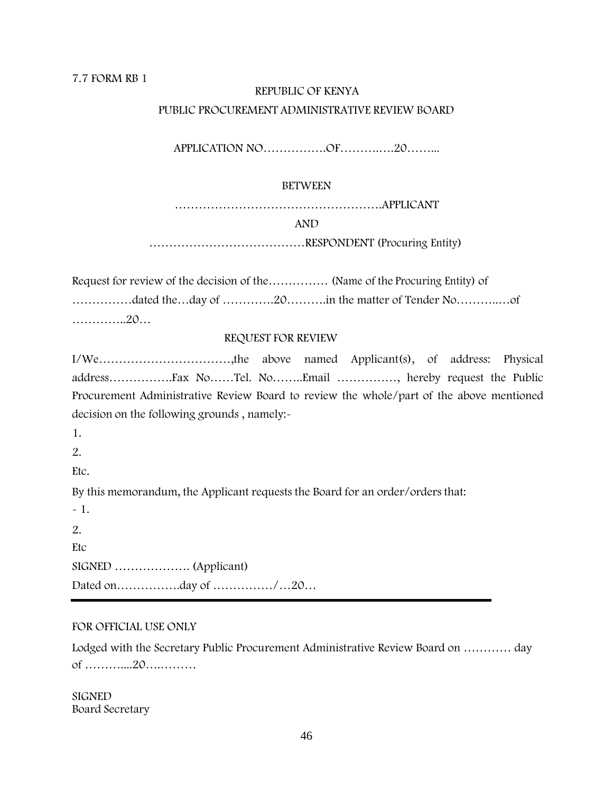# 7.7 FORM RB 1

# REPUBLIC OF KENYA PUBLIC PROCUREMENT ADMINISTRATIVE REVIEW BOARD

APPLICATION NO…………….OF……….….20……...

# BETWEEN

…………………………………………….APPLICANT

AND

…………………………………RESPONDENT (Procuring Entity)

Request for review of the decision of the…………… (Name of the Procuring Entity) of ……………dated the…day of ………….20……….in the matter of Tender No………..…of …………..20…

# REQUEST FOR REVIEW

I/We……………………………,the above named Applicant(s), of address: Physical address…………….Fax No……Tel. No……..Email ……………, hereby request the Public Procurement Administrative Review Board to review the whole/part of the above mentioned decision on the following grounds , namely:-

1.

2.

Etc.

By this memorandum, the Applicant requests the Board for an order/orders that:

 $-1.$ 2. **Etc** SIGNED ………………. (Applicant) Dated on…………….day of ……………/…20…

### FOR OFFICIAL USE ONLY

Lodged with the Secretary Public Procurement Administrative Review Board on ………… day of ………....20….………

**SIGNED** Board Secretary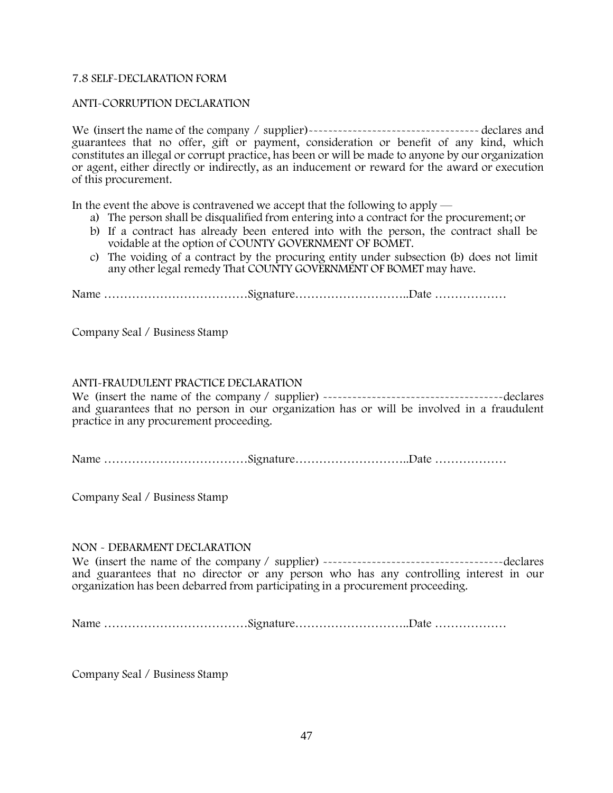# 7.8 SELF-DECLARATION FORM

# ANTI-CORRUPTION DECLARATION

We (insert the name of the company / supplier)----------------------------------- declares and guarantees that no offer, gift or payment, consideration or benefit of any kind, which constitutes an illegal or corrupt practice, has been or will be made to anyone by our organization or agent, either directly or indirectly, as an inducement or reward for the award or execution of this procurement.

In the event the above is contravened we accept that the following to apply —

- a) The person shall be disqualified from entering into a contract for the procurement; or
- b) If a contract has already been entered into with the person, the contract shall be voidable at the option of COUNTY GOVERNMENT OF BOMET.
- c) The voiding of a contract by the procuring entity under subsection (b) does not limit any other legal remedy That COUNTY GOVERNMENT OF BOMET may have.

Name ………………………………Signature………………………..Date ………………

Company Seal / Business Stamp

### ANTI-FRAUDULENT PRACTICE DECLARATION

We (insert the name of the company / supplier) -------------------------------------declares and guarantees that no person in our organization has or will be involved in a fraudulent practice in any procurement proceeding.

Name ………………………………Signature………………………..Date ………………

Company Seal / Business Stamp

### NON - DEBARMENT DECLARATION

We (insert the name of the company / supplier) -------------------------------------declares and guarantees that no director or any person who has any controlling interest in our organization has been debarred from participating in a procurement proceeding.

Name ………………………………Signature………………………..Date ………………

Company Seal / Business Stamp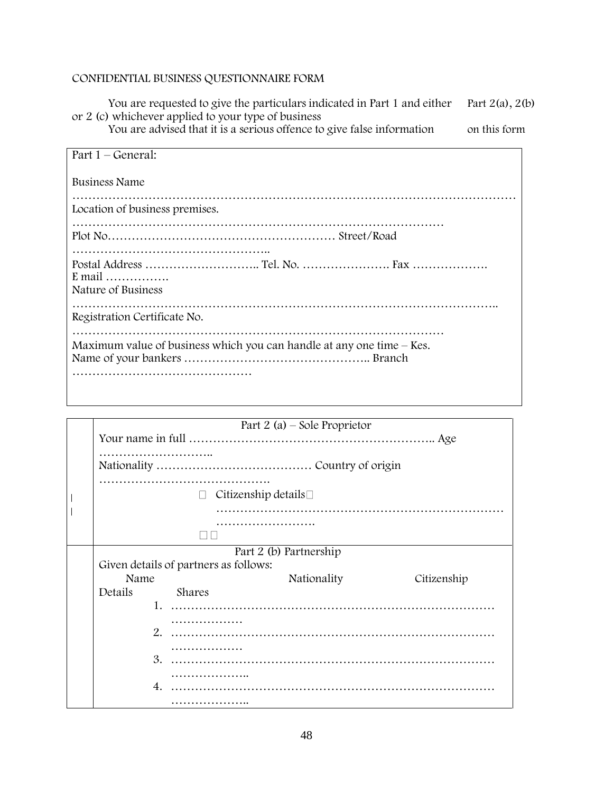# CONFIDENTIAL BUSINESS QUESTIONNAIRE FORM

You are requested to give the particulars indicated in Part 1 and either  $\Gamma$  Part 2(a), 2(b) or 2 (c) whichever applied to your type of business

You are advised that it is a serious offence to give false information on this form

| Part $1 -$ General:                                                     |
|-------------------------------------------------------------------------|
| Business Name                                                           |
| Location of business premises.                                          |
|                                                                         |
| E mail $\ldots$<br>Nature of Business                                   |
| Registration Certificate No.                                            |
| Maximum value of business which you can handle at any one time $-$ Kes. |

|  | Part 2 (a) – Sole Proprietor            |  |             |             |  |  |
|--|-----------------------------------------|--|-------------|-------------|--|--|
|  |                                         |  |             |             |  |  |
|  |                                         |  |             |             |  |  |
|  |                                         |  |             |             |  |  |
|  |                                         |  |             |             |  |  |
|  |                                         |  |             |             |  |  |
|  | Citizenship details $\square$<br>$\Box$ |  |             |             |  |  |
|  |                                         |  |             |             |  |  |
|  |                                         |  |             |             |  |  |
|  |                                         |  |             |             |  |  |
|  | Part 2 (b) Partnership                  |  |             |             |  |  |
|  | Given details of partners as follows:   |  |             |             |  |  |
|  | Name                                    |  | Nationality | Citizenship |  |  |
|  |                                         |  |             |             |  |  |
|  | Details<br>Shares                       |  |             |             |  |  |
|  | $\mathbf{1}$ .                          |  |             |             |  |  |
|  |                                         |  |             |             |  |  |
|  | 2.                                      |  |             |             |  |  |
|  |                                         |  |             |             |  |  |
|  | 3.                                      |  |             |             |  |  |
|  |                                         |  |             |             |  |  |
|  |                                         |  |             |             |  |  |
|  | $\mathbf{4}$                            |  |             |             |  |  |
|  |                                         |  |             |             |  |  |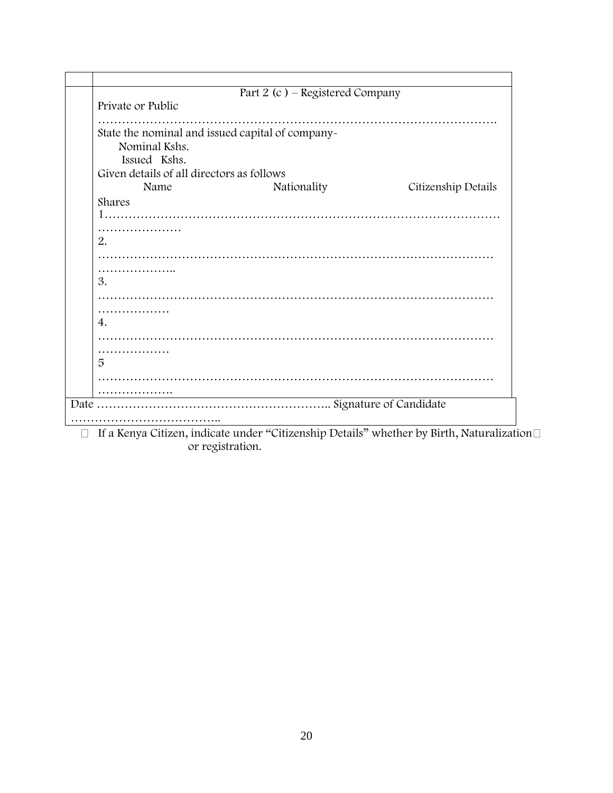|                                                  | Part 2 (c) - Registered Company |                     |
|--------------------------------------------------|---------------------------------|---------------------|
| Private or Public                                |                                 |                     |
|                                                  |                                 |                     |
| State the nominal and issued capital of company- |                                 |                     |
| Nominal Kshs.                                    |                                 |                     |
| Issued Kshs.                                     |                                 |                     |
| Given details of all directors as follows        |                                 |                     |
| Name                                             | Nationality                     | Citizenship Details |
| Shares                                           |                                 |                     |
|                                                  |                                 |                     |
|                                                  |                                 |                     |
| 2.                                               |                                 |                     |
|                                                  |                                 |                     |
|                                                  |                                 |                     |
| .                                                |                                 |                     |
| 3.                                               |                                 |                     |
|                                                  |                                 |                     |
| .                                                |                                 |                     |
| 4.                                               |                                 |                     |
|                                                  |                                 |                     |
| .                                                |                                 |                     |
| 5                                                |                                 |                     |
|                                                  |                                 |                     |
|                                                  |                                 |                     |
|                                                  |                                 |                     |
|                                                  |                                 |                     |

If a Kenya Citizen, indicate under "Citizenship Details" whether by Birth, Naturalization or registration.